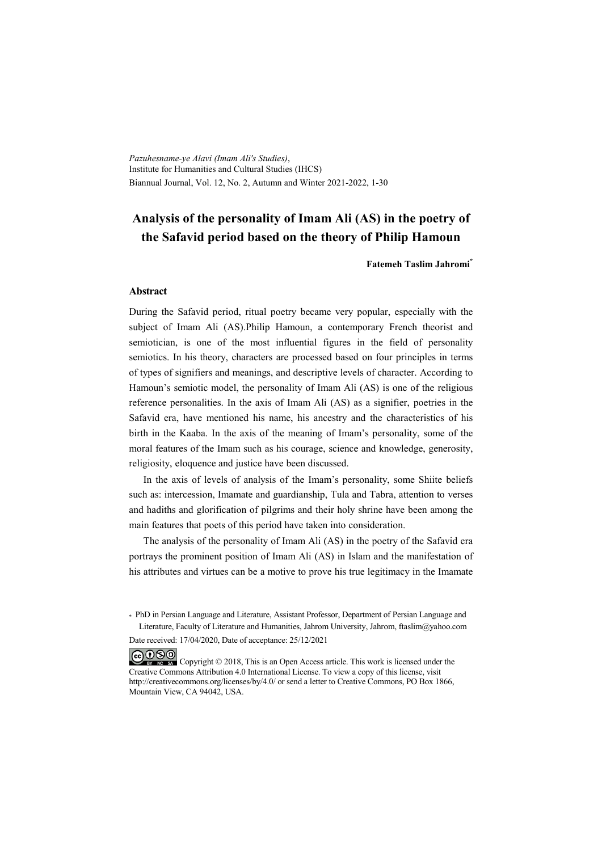*Pazuhesname-ye Alavi (Imam Ali's Studies)*, Institute for Humanities and Cultural Studies (IHCS) Biannual Journal, Vol. 12, No. 2, Autumn and Winter 2021-2022, 1-30

# **Analysis of the personality of Imam Ali (AS) in the poetry of the Safavid period based on the theory of Philip Hamoun**

**Fatemeh Taslim Jahromi\***

#### **Abstract**

During the Safavid period, ritual poetry became very popular, especially with the subject of Imam Ali (AS).Philip Hamoun, a contemporary French theorist and semiotician, is one of the most influential figures in the field of personality semiotics. In his theory, characters are processed based on four principles in terms of types of signifiers and meanings, and descriptive levels of character. According to Hamoun's semiotic model, the personality of Imam Ali (AS) is one of the religious reference personalities. In the axis of Imam Ali (AS) as a signifier, poetries in the Safavid era, have mentioned his name, his ancestry and the characteristics of his birth in the Kaaba. In the axis of the meaning of Imam's personality, some of the moral features of the Imam such as his courage, science and knowledge, generosity, religiosity, eloquence and justice have been discussed.

In the axis of levels of analysis of the Imam's personality, some Shiite beliefs such as: intercession, Imamate and guardianship, Tula and Tabra, attention to verses and hadiths and glorification of pilgrims and their holy shrine have been among the main features that poets of this period have taken into consideration.

The analysis of the personality of Imam Ali (AS) in the poetry of the Safavid era portrays the prominent position of Imam Ali (AS) in Islam and the manifestation of his attributes and virtues can be a motive to prove his true legitimacy in the Imamate

\* PhD in Persian Language and Literature, Assistant Professor, Department of Persian Language and Literature, Faculty of Literature and Humanities, Jahrom University, Jahrom, ftaslim@yahoo.com

Date received: 17/04/2020, Date of acceptance: 25/12/2021

COOO Copyright © 2018, This is an Open Access article. This work is licensed under the Creative Commons Attribution 4.0 International License. To view a copy of this license, visit http://creativecommons.org/licenses/by/4.0/ or send a letter to Creative Commons, PO Box 1866, Mountain View, CA 94042, USA.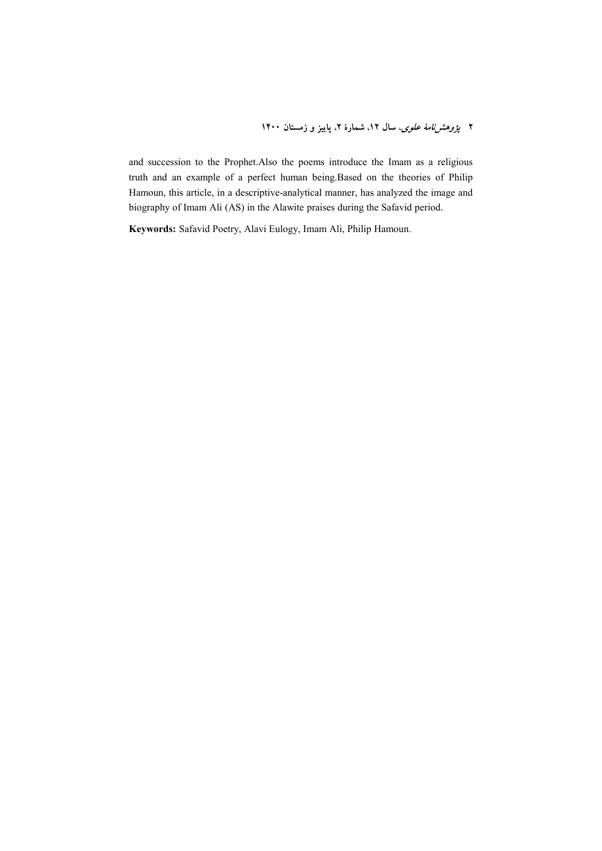and succession to the Prophet.Also the poems introduce the Imam as a religious truth and an example of a perfect human being.Based on the theories of Philip Hamoun, this article, in a descriptive-analytical manner, has analyzed the image and biography of Imam Ali (AS) in the Alawite praises during the Safavid period.

**Keywords:** Safavid Poetry, Alavi Eulogy, Imam Ali, Philip Hamoun.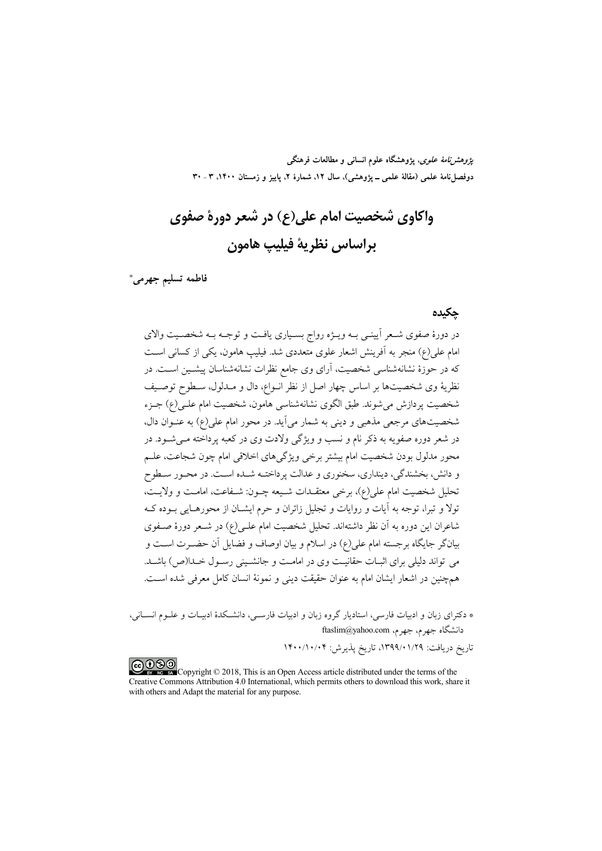*پژوهشنامهٔ علوی*، پژوهشگاه علوم انسانی و مطالعات فرهنگی دوفصلناه علمی (مقالهٔ علمی ــ پژوهشی)، سال ۱۲، شمارهٔ ۲، پاییز و زمستان ۱۴۰۰، ۳ ـ ۳۰

واکاوي شخصيت امام علي(ع) در شعر دورهٔ صفوي يراساس نظرية فيليب هامون

فاطمه تسليم جهرمي\*

### حكىدە

در دورهٔ صفوی شـعر اَیینـی بـه ویـژه رواج بسـیاری یافـت و توجـه بـه شخصـیت والای امام علی(ع) منجر به آفرینش اشعار علوی متعددی شد. فیلیپ هامون، یکی از کسانی است که در حوزهٔ نشانهشناسی شخصیت، آرای وی جامع نظرات نشانهشناسان پیشـین اسـت. در نظريهٔ وی شخصيتها بر اساس چهار اصل از نظر انــواع، دال و مــدلول، ســطوح توصــيف شخصيت پر دازش مي شوند. طبق الگوي نشانهشناسي هامون، شخصيت امام علـي (ع) جــزء شخصیتهای مرجعی مذهبی و دینی به شمار میآید. در محور امام علی(ع) به عنـوان دال. در شعر دوره صفویه به ذکر نام و نسب و ویژگی ولادت وی در کعبه پرداخته مــی شــود. در محور مدلول بودن شخصیت امام بیشتر برخی ویژگیهای اخلاقی امام چون شجاعت، علــم و دانش، بخشندگی، دینداری، سخنوری و عدالت پرداختـه شـده اسـت. در محـور سـطوح تحليل شخصيت امام على(ع)، برخي معتقـدات شـيعه چـون: شـفاعت، امامـت و ولايـت، تولاً و تبراً، توجه به آیات و روایات و تجلیل زائران و حرم ایشــان از محورهــایی بــوده کــه شاعران این دوره به آن نظر داشتهاند. تحلیل شخصیت امام علـی(ع) در شــعر دورهٔ صــفوی بیانگر جایگاه برجسته امام علی(ع) در اسلام و بیان اوصاف و فضایل آن حضـرت اسـت و می تواند دلیلی برای اثبـات حقانیـت وی در امامـت و جانشـینی رسـول خـدا(ص) باشـد. همچنین در اشعار ایشان امام به عنوان حقیقت دینی و نمونهٔ انسان کامل معرفی شده است.

\* دکترای زبان و ادبیات فارسی، استادیار گروه زبان و ادبیات فارسـی، دانشـکدهٔ ادبیـات و علــوم انســانی، دانشگاه جهرم، جهرم، ftaslim@yahoo.com

تاريخ دريافت: ١٣٩٩/٠١/٢٩٩، تاريخ پذيرش: ١۴٠٠/١٠/٠۴

COOD experience Copyright © 2018, This is an Open Access article distributed under the terms of the Creative Commons Attribution 4.0 International, which permits others to download this work, share it with others and Adapt the material for any purpose.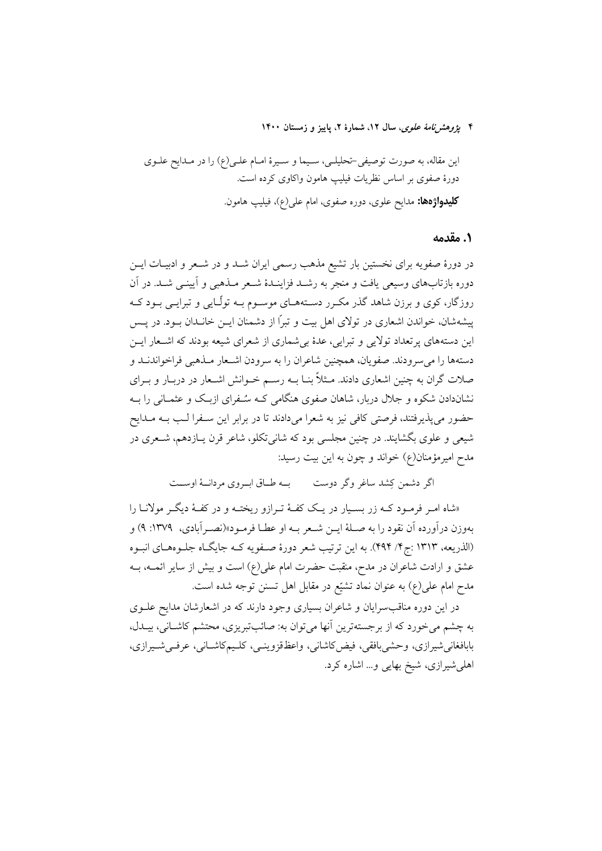۴ يژ*وهش نامهٔ علوی*، سال ۱۲، شمارهٔ ۲، پاییز و زمستان ۱۴۰۰

این مقاله، به صورت توصیفی-تحلیلـی، سـیما و سـیرهٔ امـام علـی(ع) را در مـدایح علـوی دورهٔ صفوی بر اساس نظریات فیلیپ هامون واکاوی کرده است. **کلیدواژهها:** مدایح علوی، دوره صفوی، امام علی(ع)، فیلیپ هامون<sub>.</sub>

### ١. مقدمه

در دورهٔ صفویه برای نخستین بار تشیع مذهب رسمی ایران شــد و در شــعر و ادبیــات ایــن دوره بازتابهای وسیعی یافت و منجر به رشـد فزاینـدهٔ شـعر مـذهبی و اَیینـی شـد. در اَن روزگار، کوی و برزن شاهد گذر مکـرر دسـتههـای موسـوم بـه تولّـایی و تبرایـی بـود کـه پیشهشان، خواندن اشعاری در تولای اهل بیت و تبراً از دشمنان ایــن خانــدان بــود. در پــس این دستههای پرتعداد تولایی و تبرایی، عدهٔ بی شماری از شعرای شیعه بودند که اشـعار ایــن دستهها را مي سرودند. صفويان، همچنين شاعران را به سرودن اشـعار مـذهبي فراخواندنــد و صلات گران به چنین اشعاری دادند. مــثلاً بنــا بــه رســم خــوانش اشــعار در دربــار و بــرای نشاندادن شکوه و جلال دربار، شاهان صفوی هنگامی کـه سـُـفرای ازبـک و عثمـانی را بـه حضور می پذیرفتند، فرصتی کافی نیز به شعرا میدادند تا در برابر این سـفرا لـب بـه مـدایح شیعی و علوی بگشایند. در چنین مجلسی بود که شانی تکلو، شاعر قرن پـازدهم، شــعری در مدح امیرمؤمنان(ع) خواند و چون به این بیت رسید:

اگر دشمن کشد ساغر وگر دوست می ب طباق ایپروی مردانسهٔ اوست

«شاه امـر فرمـود کـه زر بسـیار در یـک کفـهٔ تـرازو ریختـه و در کفـهٔ دیگـر مولانــا را بهوزن درآورده آن نقود را به صـلهٔ ایــن شــعر بــه او عطــا فرمــود»(نصــرآبادي، ١٣٧٩: ٩) و (الذريعه، ١٣١٣ :ج۴/ ۴٩۴). به اين ترتيب شعر دورهٔ صفويه كـه جايگـاه جلـوههـاي انبـوه عشق و ارادت شاعران در مدح، منقبت حضرت امام علی(ع) است و بیش از سایر ائمــه، بــه مدح امام علی(ع) به عنوان نماد تشیّع در مقابل اهل تسنن توجه شده است.

در این دوره مناقب سرایان و شاعران بسیاری وجود دارند که در اشعارشان مدایح علــوی به چشم می خورد که از برجستهترین آنها میتوان به: صائبتبریزی، محتشم کاشـانی، بیــدل، بابافغاني شيرازي، وحشى بافقى، فيض كاشاني، واعظـقزوينــي، كلـيمكاشــاني، عرفــي شــيرازي، اهلی شیرازی، شیخ بهایی و... اشاره کرد.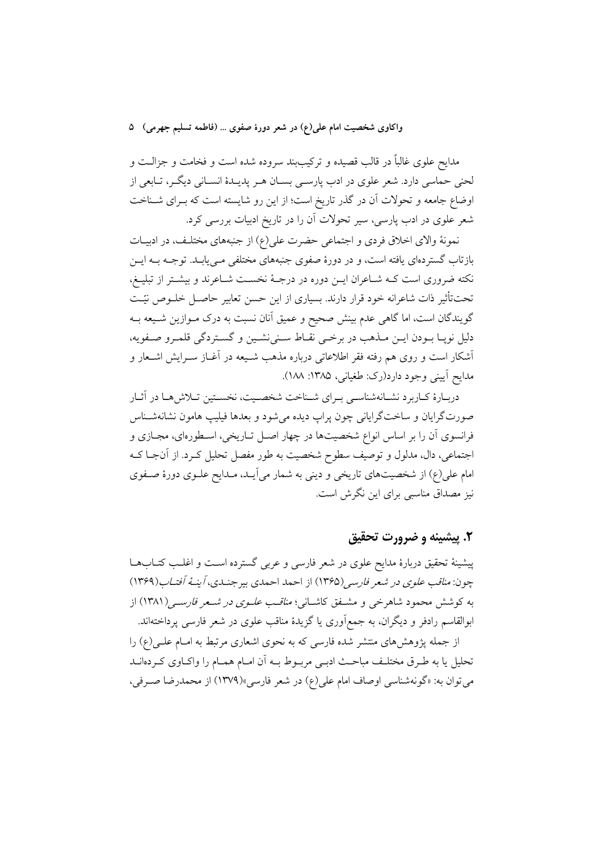مدایح علوی غالباً در قالب قصیده و ترکیببند سروده شده است و فخامت و جزالــت و لحنی حماسی دارد. شعر علوی در ادب پارسـی بســان هــر پدیــدهٔ انســانی دیگـر، تــابعی از اوضاع جامعه و تحولات آن در گذر تاریخ است؛ از این رو شایسته است که بـرای شــناخت شعر علوی در ادب پارسی، سیر تحولات آن را در تاریخ ادبیات بررسی کرد.

نمونهٔ والای اخلاق فردی و اجتماعی حضرت علی(ع) از جنبههای مختلف، در ادبیـات بازتاب گستردهای یافته است، و در دورهٔ صفوی جنبههای مختلفی مـی یابـد. توجـه بــه ایــن نکته ضروری است کـه شــاعران ايــن دوره در درجــهٔ نخســت شــاعرند و بيشــتر از تبليــغ، تحتتأثیر ذات شاعرانه خود قرار دارند. بسیاری از این حسن تعابیر حاصـل خلــوص نیّـت گویندگان است، اما گاهی عدم بینش صحیح و عمیق آنان نسبت به درک مـوازین شـیعه بـه دليل نويــا بــودن ايــن مــذهب در برخــي نقــاط ســني(نشــين و گســتردگي قلمــرو صــفويه، آشکار است و روی هم رفته فقر اطلاعاتی درباره مذهب شـیعه در آغـاز سـرایش اشـعار و مدايح آييني وجود دارد(رک: طغياني، ۱۳۸۵: ۱۸۸).

دربـارهٔ کـاربرد نشـانهشناسـی بـرای شـناخت شخصـیت، نخسـتین تـلاش6هـا در آثـار صورتگرایان و ساختگرایانی چون پراپ دیده می شود و بعدها فیلیپ هامون نشانهشـناس فرانسوی آن را بر اساس انواع شخصیتها در چهار اصـل تـاریخی، اسـطورهای، مجـازی و اجتماعی، دال، مدلول و توصیف سطوح شخصیت به طور مفصل تحلیل کـرد. از آنجـا کــه امام علی(ع) از شخصیتهای تاریخی و دینی به شمار می]یـد، مـدایح علـوی دورهٔ صـفوی نیز مصداق مناسبی برای این نگرش است.

# ۲. پیشینه و ضرورت تحقیق

پیشینهٔ تحقیق دربارهٔ مدایح علوی در شعر فارسی و عربی گسترده اسـت و اغلـب کتــابهــا چون: *مناقب علوی در شعر فارسی (*۱۳۶۵) از احمد احمدی بیرجنـدی، *آینـهٔ آفتـاب (*۱۳۶۹) به کوشش محمود شاهرخی و مشـفق کاشـانی؛ *مناقـب علـوی در شـعر فارسـی(*۱۳۸۱) از ابوالقاسم رادفر و دیگران، به جمع|َوری یا گزیدهٔ مناقب علوی در شعر فارسی پرداختهاند.

از جمله پژوهشهای منتشر شده فارسی که به نحوی اشعاری مرتبط به امـام علـی(ع) را تحلیل یا به طـرق مختلـف مباحـث ادبـی مربـوط بـه اَن امـام همـام را واکـاوی کـردهانــد مي توان به: «گونهشناسي اوصاف امام علي(ع) در شعر فارسي»(١٣٧٩) از محمدرضا صرفي،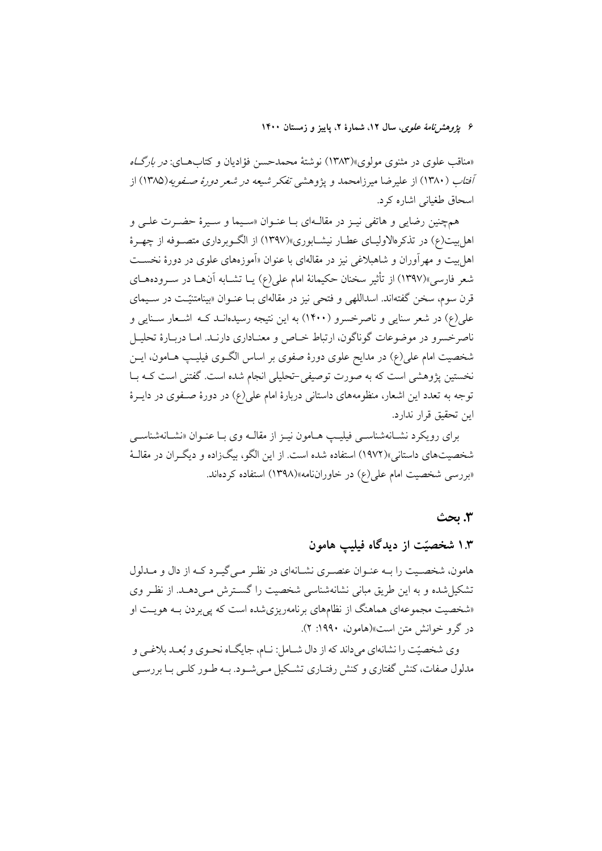۶ يژوهشرنامهٔ علوی، سال ۱۲، شمارهٔ ۲، پاييز و زمستان ۱۴۰۰

«مناقب علوی در مثنوی مولوی»(۱۳۸۳) نوشتهٔ محمدحسن فؤادیان و کتابهـای: *در بارگـاه آفتاب (*۱۳۸۰) از علیرضا میرزامحمد و پژوهشی *تفکر شیعه در شعر دورهٔ صـفویه(*۱۳۸۵) از اسحاق طغیانی اشاره کرد.

همچنین رضایی و هاتفی نیـز در مقالـهای بـا عنـوان «سـیما و سـیرهٔ حضـرت علـی و اهل بیت(ع) در تذکرهالاولیـای عطـار نیشـابوری»(۱۳۹۷) از الگـوبرداری متصـوفه از چهـرهٔ اهل بیت و مهر آوران و شاهبلاغی نیز در مقالهای با عنوان «آموزههای علوی در دورهٔ نخســت شعر فارسی»(۱۳۹۷) از تأثیر سخنان حکیمانهٔ امام علی(ع) یــا تشــابه آن هــا در ســرودههــای قرن سوم، سخن گفتهاند. اسداللهی و فتحی نیز در مقالهای بـا عنـوان «بینامتنیّـت در سـیمای علی(ع) در شعر سنایی و ناصرخسرو (۱۴۰۰) به این نتیجه رسیدهانـد کـه اشـعار سـنایی و ناصرخسرو در موضوعات گوناگون، ارتباط خــاص و معنــاداري دارنــد. امــا دربــارهٔ تحليــل شخصیت امام علی(ع) در مدایح علوی دورهٔ صفوی بر اساس الگـوی فیلیـپ هــامون، ایــن نخستین پژوهشی است که به صورت توصیفی-تحلیلی انجام شده است. گفتنی است کـه بـا توجه به تعدد این اشعار، منظومههای داستانی دربارهٔ امام علی(ع) در دورهٔ صـفوی در دایــرهٔ ابن تحقيق قرار ندارد.

برای رویکرد نشـانهشناسـی فیلیـپ هـامون نیـز از مقالـه وی بـا عنـوان «نشـانهشناسـی شخصیتهای داستانی»(۱۹۷۲) استفاده شده است. از این الگو، بیگزاده و دیگران در مقالـهٔ «بررسی شخصیت امام عل<sub>ی</sub>(ع) در خاوراننامه»(۱۳۹۸) استفاده کردهاند.

#### 3. يحث

# ۱.۳ شخصیّت از دیدگاه فیلیپ هامون

هامون، شخصيت را بـه عنـوان عنصـري نشـانهاي در نظـر مـي گيـرد كـه از دال و مـدلول تشکیل شده و به این طریق مبانی نشانهشناسی شخصیت را گسـترش مـیدهــد. از نظـر وی «شخصیت مجموعهای هماهنگ از نظامهای برنامهریزیشده است که پی بردن بـه هویـت او در گرو خوانش متن است»(هامون، ۱۹۹۰: ۲).

وی شخصیّت را نشانهای میداند که از دال شـامل: نـام، جایگـاه نحـوی و بُعـد بلاغـی و مدلول صفات، کنش گفتاری و کنش رفتـاری تشـکیل مـیشـود. بـه طـور کلـی بـا بررسـی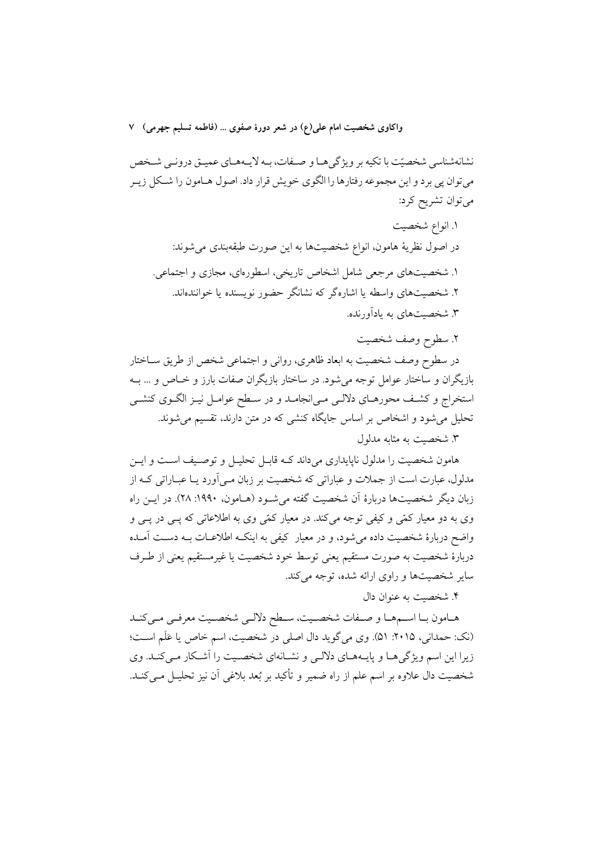نشانهشناسی شخصیّت با تکیه بر ویژگی هـا و صـفات، بـه لایـههـای عمیـق درونـی شـخص می توان پی برد و این مجموعه رفتارها را الگوی خویش قرار داد. اصول هــامون را شــکل زیــر میتوان تشریح کرد:

١. انواع شخصيت در اصول نظریهٔ هامون، انواع شخصیتها به این صورت طبقهبندی میشوند: ۱. شخصیتهای مرجعی شامل اشخاص تاریخی، اسطورهای، مجازی و اجتماعی. ۲. شخصیتهای واسطه یا اشارهگر که نشانگر حضور نویسنده یا خوانندهاند. ۳. شخصیتهای به یادآورنده.

٢. سطوح وصف شخصيت

در سطوح وصف شخصیت به ابعاد ظاهري، رواني و اجتماعي شخص از طريق ســاختار بازیگران و ساختار عوامل توجه میشود. در ساختار بازیگران صفات بارز و خـاص و … بــه استخراج و کشف محورهـاي دلالـي مـي|نجامـد و در سـطح عوامـل نيـز الگـوي کنشـي تحلیل می شود و اشخاص بر اساس جایگاه کنشی که در متن دارند، تقسیم می شوند. ۳. شخصت به مثابه مدلول

هامون شخصیت را مدلول ناپایداری میداند کـه قابـل تحلیـل و توصـیف اسـت و ایـن مدلول، عبارت است از جملات و عباراتی که شخصیت بر زبان مـی[ورد یـا عبــاراتی کــه از زبان دیگر شخصیتها دربارهٔ آن شخصیت گفته می شـود (هـامون، ۱۹۹۰: ۲۸). در ایــن راه وی به دو معیار کمّی و کیفی توجه میکند. در معیار کمّی وی به اطلاعاتی که پــی در پــی و واضح دربارهٔ شخصیت داده میشود، و در معیار کیفی به اینکـه اطلاعـات بـه دسـت آمـده دربارهٔ شخصیت به صورت مستقیم یعنی توسط خود شخصیت یا غیرمستقیم یعنی از طـرف سایر شخصیتها و راوی ارائه شده، توجه میکند.

۴. شخصيت به عنوان دال

هـامون بـا اســمهـا و صــفات شخصــيت، ســطح دلالــي شخصــيت معرفــي مــيكنــد (نک: حمدانی، ۲۰۱۵: ۵۱). وی می گوید دال اصلی در شخصیت، اسم خاص یا عَلَم است؛ زیرا این اسم ویژگی هـا و پایـههـای دلالـی و نشـانهای شخصـیت را آشـكار مـی كنـد. وی شخصیت دال علاوه بر اسم علم از راه ضمیر و تأکید بر بُعد بلاغی آن نیز تحلیـل مـی کنــد.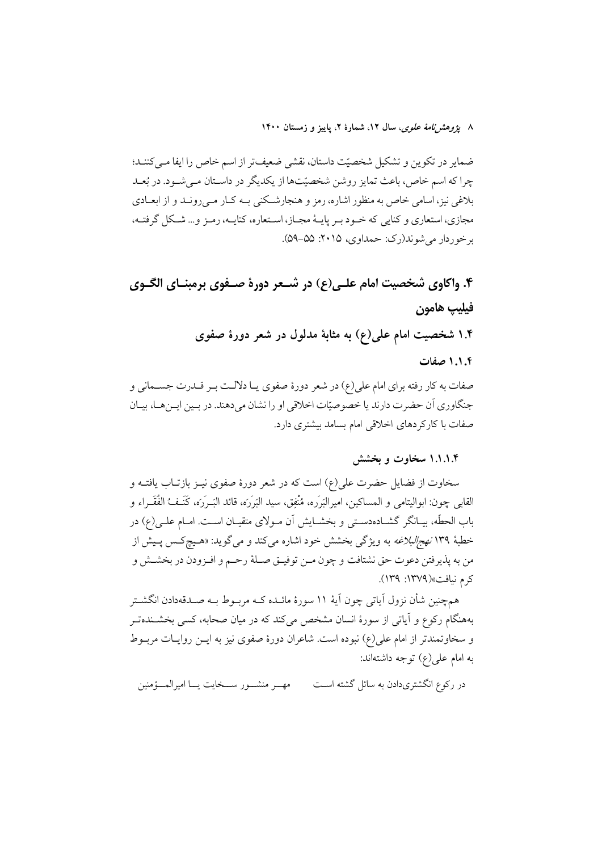۸ ي*ژوهشرنامهٔ علوی*، سال ۱۲، شمارهٔ ۲، پاييز و زمستان ۱۴۰۰

ضمایر در تکوین و تشکیل شخصیّت داستان، نقشی ضعیفتر از اسم خاص را ایفا مـیکننـد؛ چرا كه اسم خاص، باعث تمايز روشن شخصيّتها از يكديگر در داسـتان مـي شـود. در بُعـد بلاغی نیز، اسامی خاص به منظور اشاره، رمز و هنجارشکنی بـه کـار مـی(ونـد و از ابعــادی مجازي، استعاري و كنايي كه خـود بـر پايــهٔ مجـاز، اســتعاره، كنايــه، رمـز و... شـكل گرفتــه، برخوردار مي شوند(رک: حمداوي، ۲۰۱۵: ۵۵–۵۹).

۴. واکاوی شخصیت امام علـی(ع) در شـعر دورهٔ صـفوی برمبنـای الگـوی فيليب هامون

۱.۴ شخصیت امام علمی(ع) به مثابهٔ مدلول در شعر دورهٔ صفوی

۱.۱.۴ صفات

صفات به کار رفته برای امام علی(ع) در شعر دورهٔ صفوی یـا دلالـت بـر قــدرت جســمانی و جنگاوری آن حضرت دارند یا خصوصیّات اخلاقی او را نشان میدهند. در بـین ایـنهـا، بیـان صفات با کارکردهای اخلاقی امام بسامد بیشتری دارد.

## ۱.۱.۱.۴ سخاوت و بخشش

سخاوت از فضایل حضرت علی(ع) است که در شعر دورهٔ صفوی نیـز بازتـاب یافتـه و القابي چون: ابواليتامي و المساكين، اميرالبَرَره، مُنْفِق، سيد البَرَرَه، قائد البَــرَرَه، كَنَــفَّ الفُقَــراء و باب الحطَّه، بیـانگر گشـادهدسـتی و بخشـایش آن مـولای متقیـان اسـت. امـام علـی(ع) در خطبهٔ ۱۳۹ *نهج البلاغه* به ویژگی بخشش خود اشاره میکند و میگوید: «هـیچکـس پـیش از من به پذيرفتن دعوت حق نشتافت و چون مــن توفيــق صــلهٔ رحــم و افــزودن در بخشــش و كرم نيافت»(١٣٧٩: ١٣٩).

همچنین شأن نزول آیاتی چون آیهٔ ۱۱ سورهٔ مائــده کــه مربــوط بــه صــدقهدادن انگشــتر بههنگام رکوع و آیاتی از سورهٔ انسان مشخص میکند که در میان صحابه، کسی بخشــندهتــر و سخاوتمندتر از امام علی(ع) نبوده است. شاعران دورهٔ صفوی نیز به ایــن روایــات مربــوط به امام على(ع) توجه داشتهاند:

در رکوع انگشتریدادن به سائل گشته است مهـــــــر منشــــــور ســــــخايت يـــــا اميرالمــــؤمنين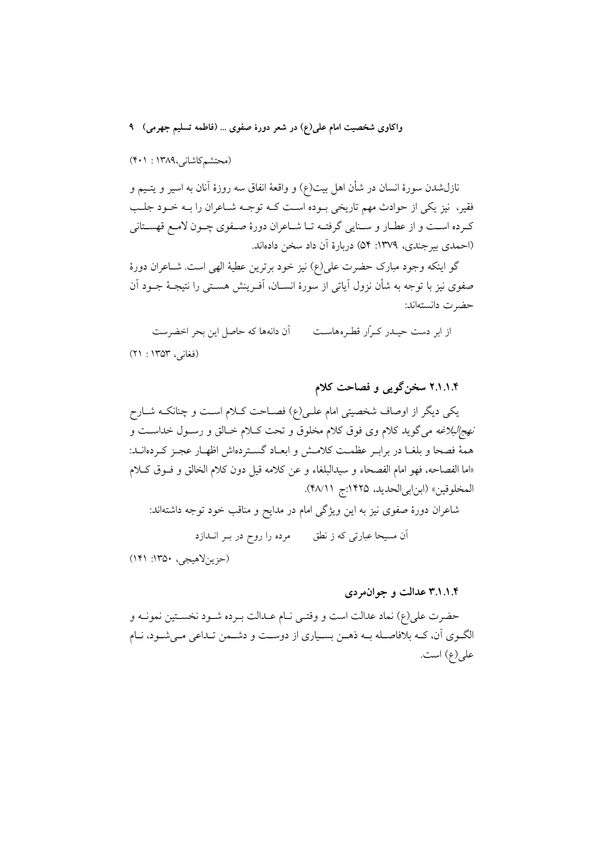(محتشم كاشانى،١٣٨٩ : ٢٠١)

نازلشدن سورهٔ انسان در شأن اهل بیت(ع) و واقعهٔ انفاق سه روزهٔ اَنان به اسیر و یتـیم و فقیر، نیز یکی از حوادث مهم تاریخی بـوده اسـت کـه توجـه شـاعران را بـه خـود جلـب كرده است و از عطـار و سـنايي گرفتـه تـا شـاعران دورهٔ صـفوي چـون لامـع قهسـتاني (احمدي بير جندي، ١٣٧٩: ٥۴) دربارهٔ اَن داد سخن دادهاند.

گو اینکه وجود مبارک حضرت علی(ع) نیز خود برترین عطیهٔ الهی است. شـاعران دورهٔ صفوی نیز با توجه به شأن نزول اَیاتی از سورهٔ انســان، اَفــرینش هســتی را نتیجــهٔ جــود اَن حضرت دانستهاند:

از ابر دست حیـدر کـرار قطـرههاسـت آن دانهها كه حاصل اين بحر اخضرست (فغانی، ۱۳۵۳ : ۲۱)

۲.۱.۱.۴ سخنگویی و فصاحت کلام

یکی دیگر از اوصاف شخصیتی امام علـی(ع) فصــاحت کــلام اســت و چنانکــه شــارح نهج/لبلاغه میگوید کلام وی فوق کلام مخلوق و تحت کـلام خـالق و رسـول خداسـت و همهٔ فصحا و بلغـا در برابـر عظمـت کلامـش و ابعـاد گسـتردهاش اظهـار عجـز کـردهانــد: «اما الفصاحه، فهو امام الفصحاء و سيدالبلغاء و عن كلامه قيل دون كلام الخالق و فـوق كـلام المخلوقين» (ابن ابي الحديد، ١٤٢٥:ج ٢٨/١١).

شاعران دورهٔ صفوی نیز به این ویژگی امام در مدایح و مناقب خود توجه داشتهاند:

آن مسیحا عبارتی که ز نطق مرده را روح در بـر انــدازد

 $(1f1.170 \cdot \sqrt{2\pi})$  (جزین لاهیجی)

۳.۱.۱.۴ عدالت و جوان مردی

حضرت علي(ع) نماد عدالت است و وقتـي نــام عــدالت بــرده شــود نخســتين نمونــه و الگـوي اَن، کـه بلافاصـله بـه ذهـن بسـياري از دوسـت و دشـمن تـداعي مـي شـود، نـام على(ع) است.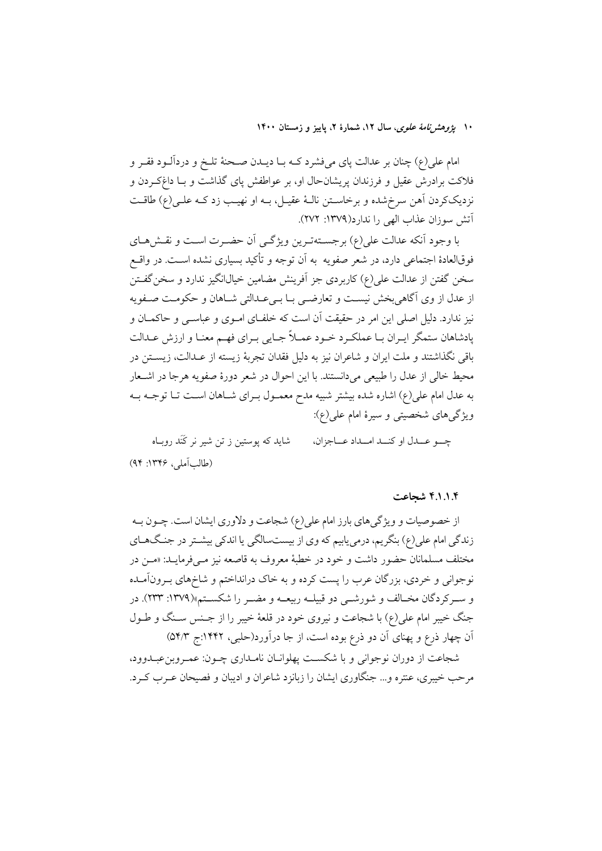۱۰ یژ*وهش نامهٔ علوی*، سال ۱۲، شمارهٔ ۲، پاییز و زمستان ۱۴۰۰

امام علی(ع) چنان بر عدالت پای میفشرد کـه بــا دیــدن صــحنهٔ تلــخ و دردآلــود فقــر و فلاکت برادرش عقیل و فرزندان پریشانحال او، بر عواطفش پای گذاشت و بــا داغکــردن و نزدیککردن آهن سرخ شده و برخاسـتن نالـهٔ عقیـل، بـه او نهیـب زد کـه علـی(ع) طاقـت آتش سوزان عذاب الهي را ندارد(١٣٧٩: ٢٧٢).

با وجود آنکه عدالت علی(ع) برجستهترین ویژگی آن حضرت است و نقشهای فوقالعادهٔ اجتماعی دارد، در شعر صفویه به آن توجه و تأکید بسیاری نشده اسـت. در واقــع سخن گفتن از عدالت علی(ع) کاربردی جز اَفرینش مضامین خیالانگیز ندارد و سخن گفــتن از عدل از وی آگاهی بخش نیست و تعارضی بـا بـیعـدالتی شـاهان و حکومـت صـفویه نیز ندارد. دلیل اصلی این امر در حقیقت آن است که خلفـای امــوی و عباســی و حاکمــان و یادشاهان ستمگر ایـران بـا عملکـرد خـود عمـلاً جـایی بـرای فهـم معنـا و ارزش عـدالت باقی نگذاشتند و ملت ایران و شاعران نیز به دلیل فقدان تجربهٔ زیسته از عـدالت، زیســتن در محيط خالي از عدل را طبيعي مي دانستند. با اين احوال در شعر دورهٔ صفويه هرجا در اشـعار به عدل امام علی(ع) اشاره شده بیشتر شبیه مدح معمـول بـرای شـاهان اسـت تـا توجـه بـه ویژگیهای شخصیتی و سیرهٔ امام علی(ع):

چه عـــدل او كنــد امــداد عـــاجزان، شاید که پوستین ز تن شیر نر کَنَد روبـاه (طالب آملي، ١٣٤۶: ٩۴)

### ۴.۱.۱.۴ شحاعت

از خصوصیات و ویژگیهای بارز امام علی(ع) شجاعت و دلاوری ایشان است. چــون بــه زندگی امام علی(ع) بنگریم، درمییابیم که وی از بیستسالگی یا اندکی بیشــتر در جنـگ۱عـای مختلف مسلمانان حضور داشت و خود در خطبهٔ معروف به قاصعه نیز مـ<sub>ح</sub>فرمایــد: «مــن در نوجوانی و خردی، بزرگان عرب را پست کرده و به خاک درانداختم و شاخهای بـرونآمـده و سـركردگان مخـالف و شورشــي دو قبيلــه ربيعــه و مضــر را شكســتم»(١٣٧٩: ٢٣٣). در جنگ خیبر امام علی(ع) با شجاعت و نیروی خود در قلعهٔ خیبر را از جـنس سـنگ و طـول آن چهار ذرع و پهنای آن دو ذرع بوده است، از جا درآورد(حلبی، ۱۴۴۲:ج ۵۴/۳)

شجاعت از دوران نوجوانی و یا شکست پهلوانیان نامیداری چیون: عمیروین عییدوود، مرحب خیبری، عنتره و… جنگاوری ایشان را زبانزد شاعران و ادیبان و فصیحان عـرب کـرد.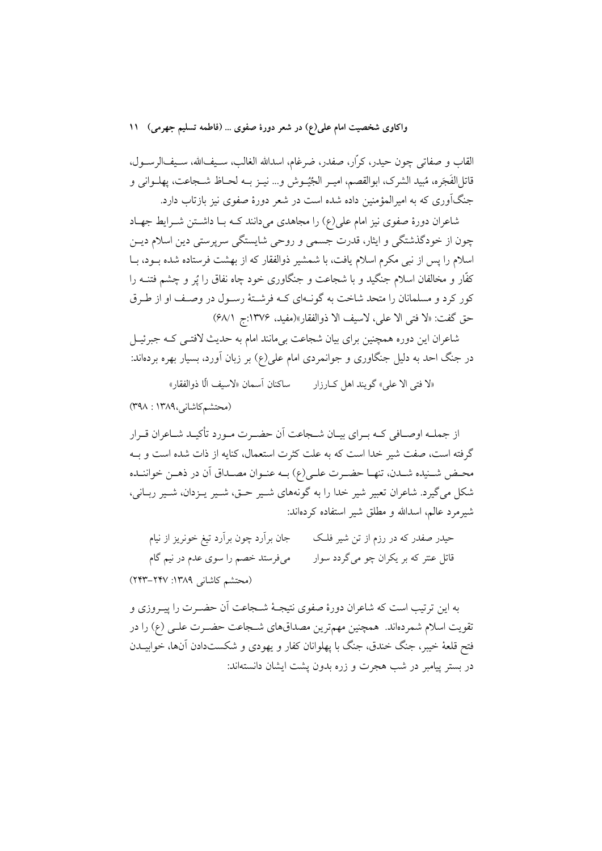القاب و صفاتي چون حيدر، كرّار، صفدر، ضرغام، اسدالله الغالب، سـيفالله، سـيفالرســول، قاتل|لفَجَره، مُبيد الشرک، ابوالقصم، اميـر الجُيُــوش و… نيـز بــه لحــاظ شـــجاعت، يهلــواني و جنگآوری که به امیرالمؤمنین داده شده است در شعر دورهٔ صفوی نیز بازتاب دارد.

شاعران دورهٔ صفوی نیز امام علی(ع) را مجاهدی میدانند کـه بـا داشــتن شــرایط جهـاد چون از خودگذشتگی و ایثار، قدرت جسمی و روحی شایستگی سرپرستی دین اسلام دیـن اسلام را پس از نبی مکرم اسلام یافت، با شمشیر ذوالفقار که از بهشت فرستاده شده بــود، بــا کفّار و مخالفان اسلام جنگید و با شجاعت و جنگاوری خود چاه نفاق را پُر و چشم فتنــه را کور کرد و مسلمانان را متحد شاخت به گونـهای کـه فرشـتهٔ رسـول در وصـف او از طـرق حق گفت: «لا فتى الا على، لاسيف الا ذوالفقار»(مفيد، ١٣٧۶:ج ٩٨/١)

شاعران این دوره همچنین برای بیان شجاعت بیءانند امام به حدیث لافتــی کــه جبرئیــل در جنگ احد به دلیل جنگاوری و جوانمردی امام علی(ع) بر زبان آورد، بسیار بهره بردهاند:

«لا فتى الا على» گويند اهل كــارزار مسلكنان آسمان «لاسيف الّا ذوالفقار»

(محتشم كاشاني,١٣٨٩ : ٣٩٨)

از جملــه اوصــافي كــه بــراي بيــان شــجاعت اَن حضــرت مــورد تأكيــد شــاعران قــرار گرفته است، صفت شیر خدا است که به علت کثرت استعمال، کنایه از ذات شده است و بـه محـض شــنيده شــدن، تنهــا حضــرت علــي(ع) بــه عنــوان مصــداق أن در ذهــن خواننــده شکل مي گيرد. شاعران تعبير شير خدا را به گونههاي شـير حــق، شـير پــزدان، شـير ربــاني، شیر مرد عالم، اسدالله و مطلق شیر استفاده کر دهاند:

جان برآرد چون برآرد تیغ خونریز از نیام حیدر صفدر که در رزم از تن شیر فلک قاتل عنتر که بر یکران چو میگردد سوار می فرستد خصم را سوی عدم در نیم گام (محتشم كاشانى ١٣٨٩: ٢٤٣-٢٢٣)

به این ترتیب است که شاعران دورهٔ صفوی نتیجـهٔ شــجاعت اَن حضـرت را پیــروزی و تقويت اسلام شمر دهاند. همچنين مهمترين مصداقهاي شـجاعت حضـرت علـي (ع) را در فتح قلعهٔ خیبر، جنگ خندق، جنگ با یهلوانان کفار و یهودی و شکستدادن آنها، خوابیــدن در بستر پیامبر در شب هجرت و زره بدون پشت ایشان دانستهاند: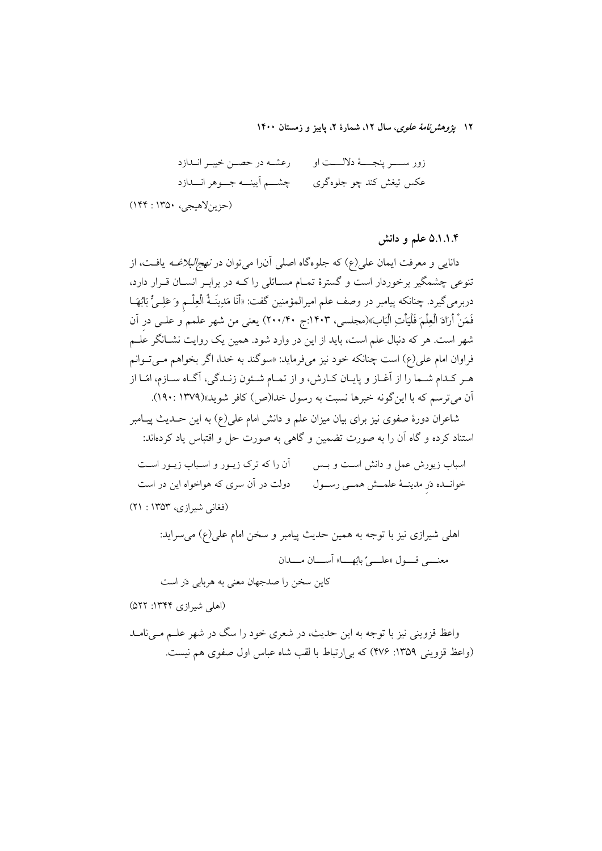۱۲ *یژوهشرنامهٔ علوی*، سال ۱۲، شمارهٔ ۲، پاییز و زمستان ۱۴۰۰

چشــــم آیینــــه جــــوهر انـــــدازد عکس تیغش کند چو جلوهگری

(حزين لاهيجي، ١٣٥٠: ١۴۴)

۵.۱.۱.۴ علم و دانش

دانایی و معرفت ایمان علی(ع) که جلوهگاه اصلی آنرا می توان در *نهج/لبلاغــه* یافــت، از تنوعی چشمگیر برخوردار است و گسترهٔ تمـام مسـائلی را کــه در برابـر انسـان قــرار دارد، دربرمىگيرد. چنانكه پيامبر در وصف علم اميرالمؤمنين گفت: «أَنَا مَدِينَـةُ الْعِلْــم وَ عَلِــىٌّ بَابُهَــا فَمَنْ أَرَادَ الْعِلْمَ فَلْيَأْتِ الْبَابَ»(مجلسى، ١۴٠٣:ج ٢٠٠/۴۰) يعنى من شهر علمم َو علــى در آن شهر است. هر که دنبال علم است، باید از این در وارد شود. همین یک روایت نشـانگر علـم فراوان امام علي(ع) است چنانکه خود نيز ميفرمايد: «سوگند به خدا، اگر بخواهم مـي تـوانم هـر كـدام شــما را از آغــاز و پايــان كــارش، و از تمــام شــئون زنــدگي، آگــاه ســازم، امّــا از آن مي ترسم كه با اين گونه خبرها نسبت به رسول خدا(ص) كافر شويد»(١٣٧٩ : ١٩٠).

شاعران دورهٔ صفوی نیز برای بیان میزان علم و دانش امام عل<sub>ی</sub>(ع) به این حــدیث پیــامبر استناد کرده و گاه آن را به صورت تضمین و گاه<sub>ی</sub> به صورت حل و اقتباس یاد کردهاند:

آن را که ترک زیـور و اسـباب زیـور اسـت اسباب زیورش عمل و دانش است و بــس دولت در آن سری که هواخواه این در است خوانــده دَر مدينــهٔ علمــش همــي رســول (فغاني شيرازي، ۱۳۵۳ : ۲۱)

اهلی شیرازی نیز با توجه به همین حدیث پیامبر و سخن امام علی(ع) می سراید: معني قسول «عليه" بائها» أسبان مسدان

كاين سخن را صدجهان معنى به هربابي دَر است

(اهلی شیرازی ۱۳۴۴: ۵۲۲)

واعظ قزوینی نیز با توجه به این حدیث، در شعری خود را سگ در شهر علــم مــیiامــد (واعظ قزويني ١٣٥٩: ٢٧۶) كه بي ارتباط با لقب شاه عباس اول صفوى هم نيست.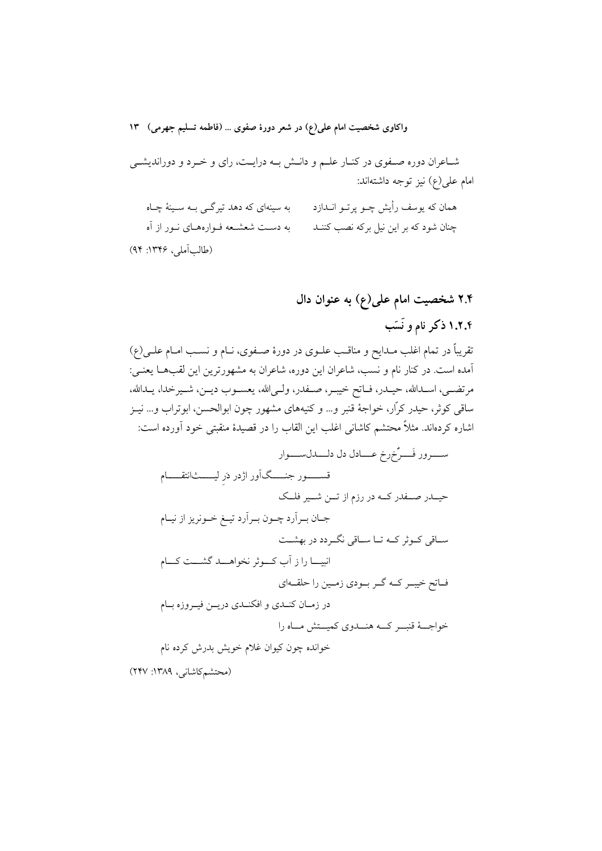شـاعران دوره صـفوي در كنـار علـم و دانـش بـه درايـت، راي و خـرد و دورانديشـي امام على(ع) نيز توجه داشتهاند:

به سینهای که دهد تیرگـی بـه سـینهٔ چـاه همان که یوسف رأیش چــو پرتــو انــدازد به دست شعشعه فـوارههـاي نـور از آه چنان شود که بر این نیل برکه نصب کننــد (طالب آملي، ۱۳۴۶: ۹۴)

> ۲.۴ شخصیت امام علی(ع) به عنوان دال ۱.۲.۴ ذکر نام و نَسَب

تقریباً در تمام اغلب مـدایح و مناقـب علـوی در دورهٔ صـفوی، نــام و نســب امــام علــی(ع) آمده است. در کنار نام و نسب، شاعران این دوره، شاعران به مشهورترین این لقبها یعنـی: مرتضــي، اســدالله، حيــدر، فــاتح خيبــر، صــفدر، ولــي|لله، يعســوب ديــن، شــيرخدا، يــدالله، ساقی کوثر، حیدر کرّار، خواجهٔ قنبر و… و کنیههای مشهور چون ابوالحسن، ابوتراب و… نیـز اشاره کردهاند. مثلاً محتشم کاشانی اغلب این القاب را در قصیدهٔ منقبتی خود آورده است:

(محتشم كاشانى، ١٣٨٩: ٢۴٧)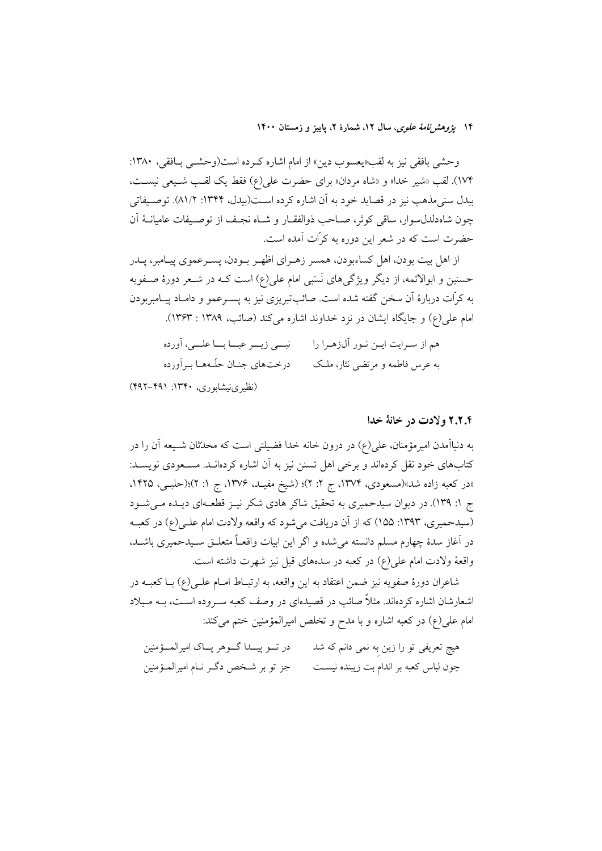۱۴ پژ*وهشرنامهٔ علوی*، سال ۱۲، شمارهٔ ۲، پاییز و زمستان ۱۴۰۰

وحشي بافقي نيز به لقب«يعسوب دين» از امام اشاره كرده است(وحشي بافقي، ١٣٨٠: ۱۷۴). لقب «شير خدا» و «شاه مردان» براي حضرت علي(ع) فقط يک لقب شـيعي نيسـت، بیدل سنیمذهب نیز در قصاید خود به آن اشاره کرده اسـت(بیدل، ۱۳۴۴: ۸۱/۲). توصـیفاتی چون شاهدلدل سوار، ساقى كوثر، صـاحب ذوالفقــار و شــاه نجـف از توصـيفات عاميانــهٔ آن حضرت است که در شعر این دوره به کرّات آمده است.

از اهل بيت بودن، اهل كساءبودن، همسر زهـراي اظهـر بـودن، پسـرعموي پيـامبر، پــدر حسنین و ابوالائمه، از دیگر ویژگیهای نَسَبی امام علی(ع) است کــه در شــعر دورهٔ صــفویه به کرّات دربارهٔ آن سخن گفته شده است. صائبتبریزی نیز به پســرعمو و دامــاد پیــامبربودن امام علي(ع) و جايگاه ايشان در نزد خداوند اشاره مي كند (صائب، ١٣٨٩ : ١٣۶٣).

هم از سـرايت ايــن نــور آل(هــرا را نبـــي زيــــر عبـــا بـــا علــــي، آورده درختهای جنـان حلّـههـا بـر آورده به عرس فاطمه و مرتضی نثار، ملک (نظیرینیشابوری، ۱۳۴۰: ۴۹۱–۴۹۲)

#### ۲.۲.۴ ولادت در خانهٔ خدا

به دنیاآمدن امیرمؤمنان، علی(ع) در درون خانه خدا فضیلتی است که محدّثان شــیعه آن را در کتابهای خود نقل کردهاند و برخی اهل تسنن نیز به آن اشاره کردهانـد. مسـعودی نویسـد: «در کعبه زاده شد»(مسعودی، ۱۳۷۴، ج ۲: ۲)؛ (شیخ مفیـد، ۱۳۷۶، ج ۱: ۲)؛(حلبـی، ۱۴۲۵. ج ۱: ۱۳۹). در دیوان سیدحمیری به تحقیق شاکر هادی شکر نیـز قطعـهای دیـده مـیشـود (سیدحمیری، ۱۳۹۳: ۱۵۵) که از آن دریافت میشود که واقعه ولادت امام علـی(ع) در کعبـه در آغاز سدهٔ چهارم مسلم دانسته می شده و اگر این ابیات واقعـاً متعلــق ســیدحمیری باشــد، واقعهٔ ولادت امام علی(ع) در کعبه در سدههای قبل نیز شهرت داشته است.

شاعران دورهٔ صفویه نیز ضمن اعتقاد به این واقعه، به ارتبـاط امـام علـی(ع) بـا کعبــه در اشعارشان اشاره کردهاند. مثلاً صائب در قصیدهای در وصف کعبه ســروده اســت، بــه مــیلاد امام علي(ع) در كعبه اشاره و با مدح و تخلص اميرالمؤمنين ختم مي كند:

در تـــو پيــــدا گــــوهر پــــاک اميرالمــــؤمنين هیچ تعریفی تو را زین به نمی دانم که شد چون لباس كعبه بر اندام بت زيبنده نيســت جز تو بر شـخص دگــر نــام اميرالمــؤمنين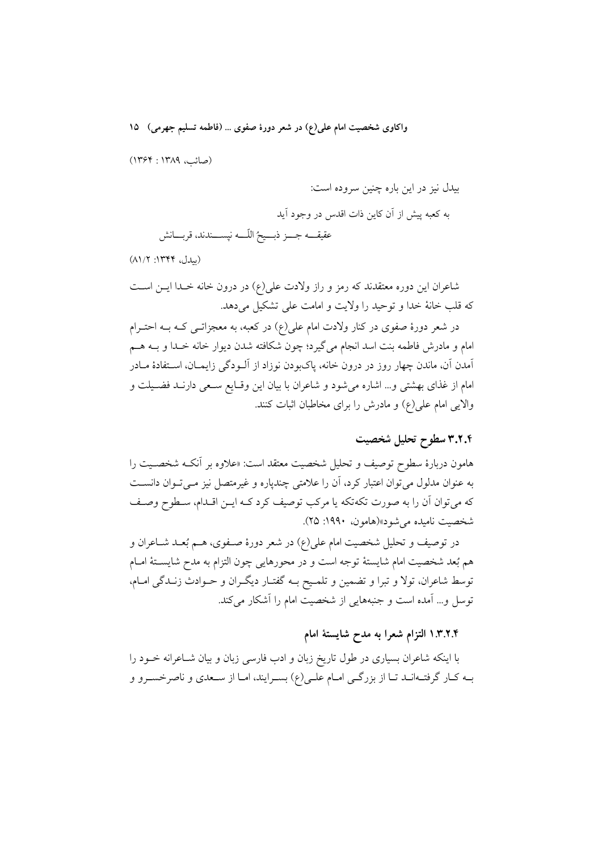(صائب، ١٣٨٩: ١٣۶۴)

بیدل نیز در این باره چنین سروده است: به كعبه پیش از آن كاین ذات اقدس در وجود آید عقيقــــه جــــز ذبــــيحُ اللّــــه نيســــندند، قربــــانش

(بيدل، ١٣٣٤: ٨١/٢)

شاعران این دوره معتقدند که رمز و راز ولادت علی(ع) در درون خانه خـدا ایــن اســت كه قلب خانهٔ خدا و توحید را ولایت و امامت علی تشکیل می دهد.

در شعر دورهٔ صفوی در کنار ولادت امام علی(ع) در کعبه، به معجزاتــی کــه بــه احتــرام امام و مادرش فاطمه بنت اسد انجام میگیرد؛ چون شکافته شدن دیوار خانه خـدا و بــه هــم آمدن آن، ماندن چهار روز در درون خانه، پاکبودن نوزاد از آلــودگی زایمــان، اســتفادهٔ مــادر امام از غذای بهشتی و... اشاره می شود و شاعران با بیان این وقـایع سـعی دارنـد فضـیلت و والایی امام علی(ع) و مادرش را برای مخاطبان اثبات کنند.

# ٣.٢.٢ سطوح تحليل شخصيت

هامون دربارهٔ سطوح توصیف و تحلیل شخصیت معتقد است: «علاوه بر آنکـه شخصـیت را به عنوان مدلول می توان اعتبار کرد، آن را علامتی چندپاره و غیرمتصل نیز مـیتوان دانسـت که میتوان آن را به صورت تکهتکه یا مرکب توصیف کرد کـه ایــن اقــدام، ســطوح وصــف شخصيت ناميده مي شود»(هامون، ١٩٩٠: ٢۵).

در توصیف و تحلیل شخصیت امام علی(ع) در شعر دورهٔ صـفوی، هــم بُعــد شــاعران و هم بُعد شخصيت امام شايستهٔ توجه است و در محورهايي چون التزام به مدح شايســتهٔ امــام توسط شاعران، تولا و تبرا و تضمین و تلمـیح بــه گفتـار دیگـران و حــوادث زنــدگی امــام، توسل و... آمده است و جنبههایی از شخصیت امام را آشکار میکند.

## ۰.۳.۲.۴ التزام شعرا به مدح شایستهٔ امام

با اینکه شاعران بسیاری در طول تاریخ زبان و ادب فارسی زبان و بیان شـاعرانه خــود را بـه كـار گرفتـهانـد تـا از بزرگـي امـام علـي(ع) بسـرايند، امـا از سـعدي و ناصرخسـرو و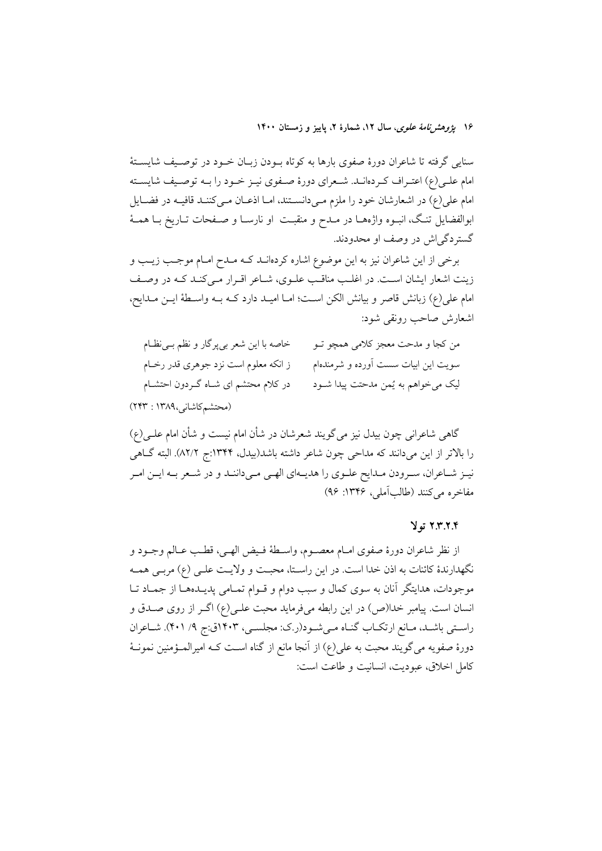۱۶ ي*ژوهشرنامهٔ علوی*، سال ۱۲، شمارهٔ ۲، پاییز و زمستان ۱۴۰۰

سنایی گرفته تا شاعران دورهٔ صفوی بارها به کوتاه بـودن زبـان خـود در توصـیف شایسـتهٔ امام علـی(ع) اعتـراف کـردهانــد. شــعرای دورهٔ صــفوی نیــز خــود را بــه توصــیف شایســته امام علی(ع) در اشعارشان خود را ملزم مـیدانسـتند، امـا اذعـان مـیکننـد قافیـه در فضـایل ابوالفضایل تنگ، انبـوه واژههـا در مــدح و منقبـت او نارسـا و صــفحات تــاریخ بــا همــهٔ گستردگی اش در وصف او محدودند.

برخی از این شاعران نیز به این موضوع اشاره کردهانــد کــه مــدح امــام موجــب زیــب و زینت اشعار ایشان است. در اغلب مناقب علـوی، شـاعر اقـرار مـیکنـد کـه در وصـف امام على(ع) زبانش قاصر و بيانش الكن است؛ امـا اميـد دارد كـه بـه واسـطهٔ ايـن مـدايح، اشعارش صاحب رونقي شود:

| خاصه با این شعر بیپرگار و نظم بـینظـام | من كجا و مدحت معجز كلامي همچو تــو   |
|----------------------------------------|--------------------------------------|
| ز انکه معلوم است نزد جوهری قدر رخـام   | سویت این ابیات سست آورده و شرمندهام  |
| در کلام محتشم ای شـاه گــردون احتشــام | ليک ميخواهم به يُمن مدحتت پيدا شــود |
|                                        |                                      |

(محتشم كاشانى،١٣٨٩ : ٢٢٣)

گاهی شاعرانی چون بیدل نیز میگویند شعرشان در شأن امام نیست و شأن امام علـی(ع) را بالاتر از این میدانند که مداحی چون شاعر داشته باشد(بیدل، ۱۳۴۴:ج ۸۲/۲). البته گـاهی نیـز شـاعران، سـرودن مـدايح علـوي را هديـهاي الهـي مـيداننـد و در شـعر بـه ايـن امـر مفاخره مي كنند (طالب آملي، ١٣٤۶: ٩۶)

### ٢.٣.٢.٣ تولا

از نظر شاعران دورهٔ صفوي امـام معصــوم، واســطهٔ فــيض الهــي، قطـب عــالم وجــود و نگهدارندهٔ کائنات به اذن خدا است. در این راستا، محبت و ولایـت علـی (ع) مربـی همـه موجودات، هدایتگر آنان به سوی کمال و سبب دوام و قـوام تمـامی پدیــدههـا از جمـاد تـا انسان است. پیامبر خدا(ص) در این رابطه میفرماید محبت علـی(ع) اگـر از روی صـدق و راستی باشـد، مـانع ارتکـاب گنـاه مـیشـود(ر.ک: مجلسـی، ۱۴۰۳ق:ج ۹/ ۴۰۱). شـاعران دورۂ صفویه می گویند محبت به علی(ع) از آنجا مانع از گناه اسـت کــه امیرالمــؤمنین نمونــهٔ كامل اخلاق، عبوديت، انسانيت و طاعت است: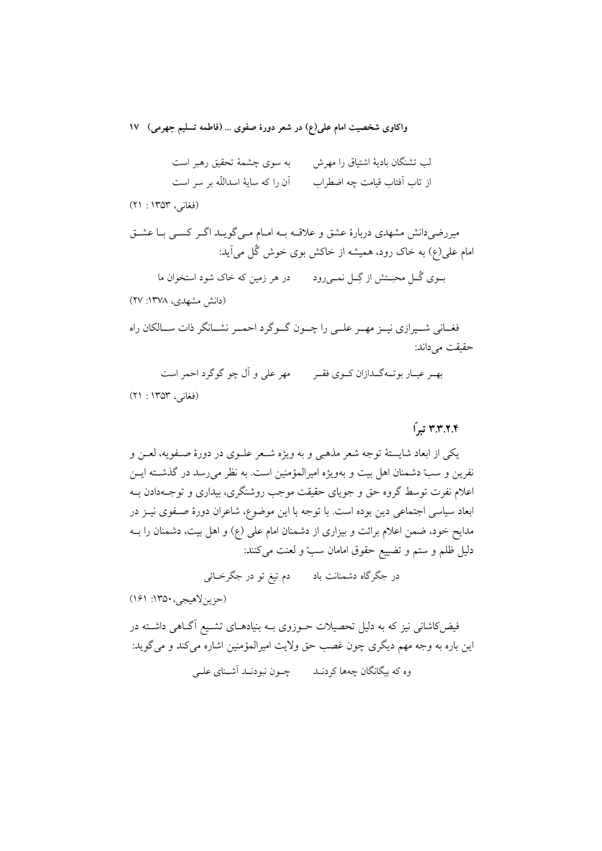لب تشنگان بادیهٔ اشتیاق را مهرش به سوی چشمهٔ تحقیق رهبر است اَن را که سایهٔ اسداللّه بر سر است از تاب آفتاب قیامت چه اضطراب

(فغانی، ۱۳۵۳ : ۲۱)

میررضی دانش مشهدی دربارهٔ عشق و علاقــه بــه امــام مــی گویــد اگــر کســی بــا عشــق امام علی(ع) به خاک رود، همیشه از خاکش بوی خوش گُل می آید:

بــوی گُــل محبــتش از گِــل نمــی٫رود \_\_\_\_\_ در هر زمین که خاک شود استخوان ما

(دانش مشهدی، ۱۳۷۸: ۲۷)

فغــاني شــيرازي نيــز مهــر علــي را چــون گــوگرد احمــر نشــانگر ذات ســالكان راه حقيقت مي داند:

بھے عبیار ہوتےگیدازان کیوی فقیر میں معلی و آل چو گوگرد احمر است (فغانی، ۱۳۵۳ : ۲۱)

## ۳.۳.۲.۴ تداً

يکي از ابعاد شايستهٔ توجه شعر مذهبي و به ويژه شـعر علـوي در دورهٔ صـفويه، لعـن و نفرين و ست دشمنان اهل بيت و بهويژه اميرالمؤمنين است. به نظر مي رسد در گذشته ايـن اعلام نفرت توسط گروه حق و جویای حقیقت موجب روشنگری، بیداری و توجـهدادن بـه ابعاد سیاسی اجتماعی دین بوده است. با توجه با این موضوع، شاعران دورهٔ صفوی نیـز در مدایح خود، ضمن اعلام برائت و بیزاری از دشمنان امام علی (ع) و اهل بیت، دشمنان را بــه دليل ظلم و ستم و تضييع حقوق امامان سبٍّ و لعنت مي كنند:

در جگرگاه دشمنانت باد مسلم تيغ تو در جگرخــائـي

(حزينلاهيجي، ١٣٥٠: ١٤١)

.<br>فیض کاشانی نیز که به دلیل تحصیلات حــوزوی بــه بنیادهــای تشــیع اَگــاهی داشــته در اين باره به وجه مهم ديگري چون غصب حق ولايت اميرالمؤمنين اشاره مي كند و مي گويد: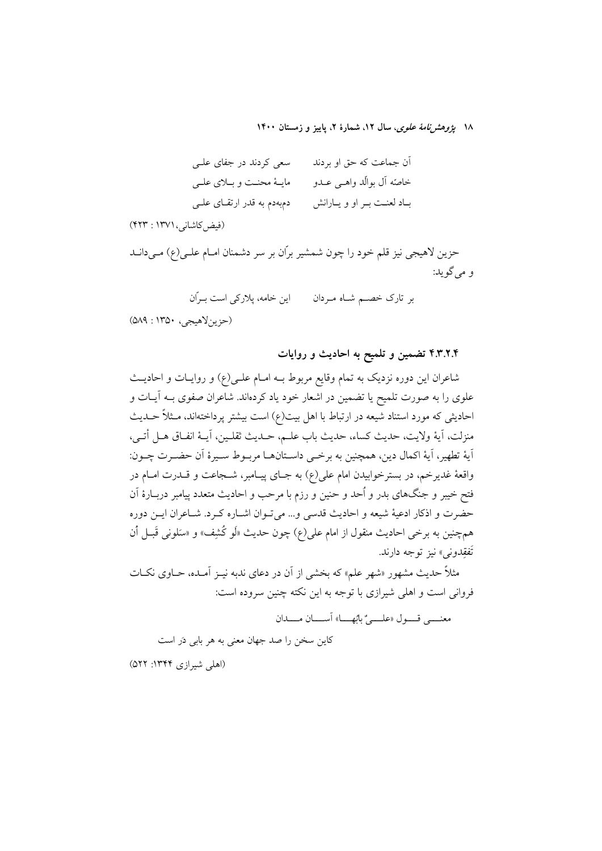۱۸ يژوهشرنامهٔ علوی، سال ۱۲، شمارهٔ ۲، پاييز و زمستان ۱۴۰۰

| سعی کردند در جفای علـی        | آن جماعت که حق او بردند      |
|-------------------------------|------------------------------|
| مايــهٔ محنــت و بــلاي علــي | خاصّه آل بوالّد واهــي عــدو |
| دمېهدم به قدر ارتقــای علــی  | بـاد لعنـت بـر او و يـارانش  |

(فيض كاشاني، ١٣٧١ : ٤٢٣)

حزین لاهیجی نیز قلم خود را چون شمشیر بران بر سر دشمنان امـام علـی(ع) مـیدانـد و مي گويد:

بر تارک خصــم شــاه مـردان مـــــ اين خامه، پلارکي است بــرّان

(حزين لاهيجي، ١٣٥٠: ٥٨٩)

۴.۳.۲.۴ تضمین و تلمیح به احادیث و روایات

شاعران این دوره نزدیک به تمام وقایع مربوط بــه امــام علــی(ع) و روایــات و احادیــث علوی را به صورت تلمیح یا تضمین در اشعار خود یاد کردهاند. شاعران صفوی بــه آیــات و احادیثی که مورد استناد شیعه در ارتباط با اهل بیت(ع) است بیشتر پرداختهاند، مـثلاً حــدیث منزلت، آية ولايت، حديث كساء، حديث باب علـم، حـديث ثقلـين، آيــهٔ انفـاق هــل أتــي، أيهٔ تطهير، أيهٔ اكمال دين، همچنين به برخـي داسـتانهــا مربــوط سـيرهٔ أن حضــرت چــون: واقعهٔ غدیرخم، در بسترخوابیدن امام علی(ع) به جـای پیـامبر، شــجاعت و قــدرت امــام در فتح خیبر و جنگهای بدر و اُحد و حنین و رزم با مرحب و احادیث متعدد پیامبر دربـارهٔ آن حضرت و اذكار ادعيهٔ شيعه و احاديث قدسي و... مي توان اشـاره كـرد. شـاعران ايـن دوره همچنین به برخی احادیث منقول از امام علی(ع) چون حدیث «لَو کُشِف» و «سَلونی قَبــل ٱن تَفقِدوني» نيز توجه دارند.

مثلاً حدیث مشهور «شهر علم» که بخشی از آن در دعای ندبه نیــز آمــده، حــاوی نکــات فروانی است و اهلی شیرازی با توجه به این نکته چنین سروده است:

معنــــي قـــول «علــــيٌّ بابًهــــا» آســــان مـــــدان کاین سخن را صد جهان معنی به هر بابی دَر است

(اهلی شیرازی ۱۳۴۴: ۵۲۲)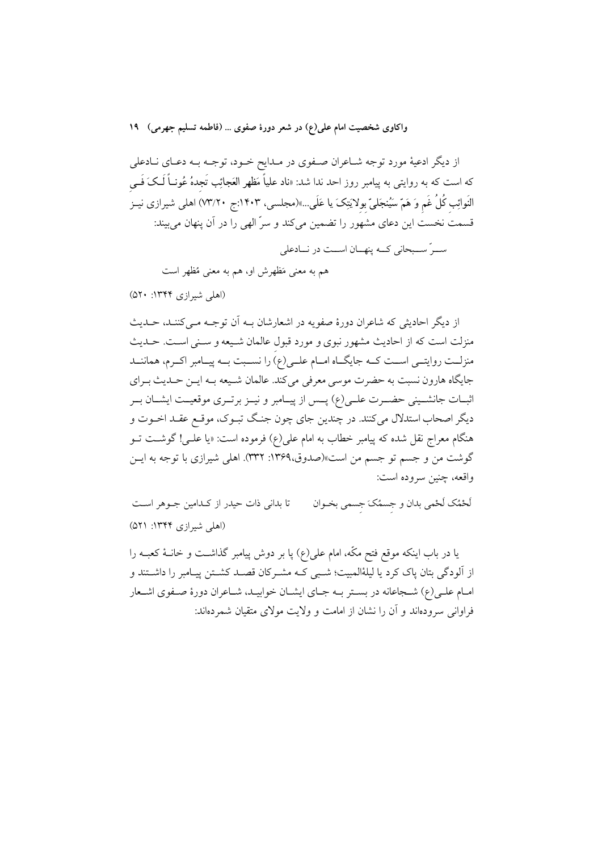از دیگر ادعیهٔ مورد توجه شـاعران صـفوی در مـدایح خـود، توجـه بـه دعـای نـادعلی که است که به روایتی به پیامبر روز احد ندا شد: «ناد علیاً مَظهر العَجائِب تَجدهُ عُونــاً لَــکَ فَــی النَوائِب كُلُ غَم وَ هَمّ سَيُنجَليّ بولايَتِکَ يا عَلَى…»(مجلسى، ١۴٠٣:ج ٧٣/٢٠) اهلي شيرازي نيـز قسمت نخست این دعای مشهور را تضمین میکند و سرّ الهی را در آن پنهان میبیند:

سـرٌ ســبحاني كــه ينهــان اســت در نــادعلى هم به معنى مَظهرش او، هم به معنى مُظهر است

(اهلی شیرازی ۱۳۴۴: ۵۲۰)

از دیگر احادیثی که شاعران دورهٔ صفویه در اشعارشان بـه اَن توجـه مـی کننـد، حـدیث منزلت است که از احادیث مشهور نبوی و مورد قبول عالمان شبیعه و سنتی است. حـدیث منزلــت روايتــي اســت كــه جايگــاه امــام علــي(ع) را نســبت بــه پيــامبر اكــرم، هماننــد جايگاه هارون نسبت به حضرت موسى معرفى مى كند. عالمان شـيعه بـه ايــن حــديث بــراي اثبــات جانشــيني حضــرت علــي(ع) پــس از پيــامبر و نيــز برتــري موقعيــت ايشــان بــر دیگر اصحاب استدلال می کنند. در چندین جای چون جنگ تبـوک، موقـع عقـد اخـوت و هنگام معراج نقل شده که پیامبر خطاب به امام علی(ع) فرموده است: «یا علــی! گوشــت تــو گوشت من و جسم تو جسم من است»(صدوق،۱۳۶۹: ۳۳۲). اهلی شیرازی با توجه به ایــن واقعه، چنین سروده است:

لَحْمُک لَحْمی بدان و جسمُکَ جسمی بخـوان تا بدانی ذات حیدر از کدامین جـوهر اسـت (اهلی شیرازی ۱۳۴۴: ۵۲۱)

یا در باب اینکه موقع فتح مکّه، امام علی(ع) پا بر دوش پیامبر گذاشـت و خانـهٔ کعبـه را از آلودگی بتان پاک کرد یا لیلهٔالمبیت؛ شببی کـه مشـرکان قصـد کشـتن پیـامبر را داشـتند و امـام علـي(ع) شـجاعانه در بسـتر بـه جـاي ايشـان خوابيـد، شـاعران دورهٔ صـفوى اشـعار فراوانی سرودهاند و آن را نشان از امامت و ولایت مولای متقیان شمردهاند: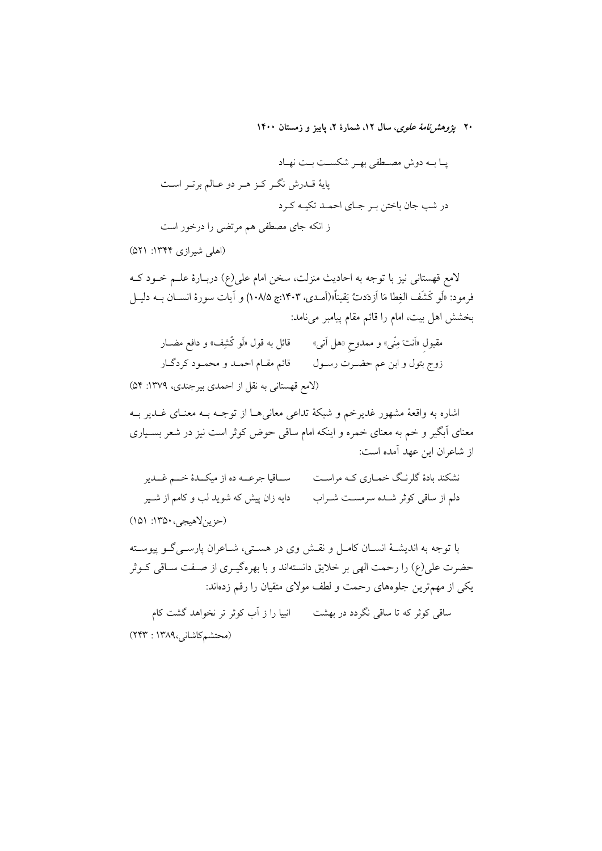۲۰ بی*ژوهشرنامهٔ علوی*، سال ۱۲، شمارهٔ ۲، پاییز و زمستان ۱۴۰۰

(اهلی شیرازی ۱۳۴۴: ۵۲۱)

لامع قهستانی نیز با توجه به احادیث منزلت، سخن امام علی(ع) دربـارهٔ علـم خـود کـه فرمود: «لَو كَشَف الغِطا مَا اَزدَدتٌ يَقيناً»(آمـدي، ١۴٠٣:ج ١٠٨/۵) و آيات سورة انســان بــه دليــل بخشش اهل بيت، امام را قائم مقام پيامبر ميiامد:

مقبول «اَنتَ مِنّی» و ممدوح «هل اَتی» قائل به قول «لَو کُشِف» و دافع مضــار زوج بتول و ابن عم حضـرت رســول قائم مقــام احمــد و محمــود كردگــار (لامع قهستانی به نقل از احمدی بیرجندی، ۱۳۷۹: ۵۴)

اشاره به واقعهٔ مشهور غدیرخم و شبکهٔ تداعی معانیها از توجـه بـه معنـای غــدیر بــه معنای آبگیر و خم به معنای خمره و اینکه امام ساقی حوض کوثر است نیز در شعر بسـیاری از شاعران این عهد آمده است:

.<br>نشکند بادهٔ گلرنگ خمـاری کـه مراسـت ســاقیا جرعــه ده از میکــدهٔ خـــم غــدیر دایه زان پیش که شوید لب و کامم از شــیر دلم از ساقی کوثر شـده سرمسـت شـراب (حزين لاهيجي، ١٣٥٠: ١٥١)

با توجه به اندیشـهٔ انســان کامــل و نقــش وی در هســتی، شــاعران پارســی گــو پیوســته حضرت علی(ع) را رحمت الهی بر خلایق دانستهاند و با بهرهگیـری از صـفت سـاقی کـوثر یکی از مهمترین جلوههای رحمت و لطف مولای متقیان را رقم زدهاند:

ساقی کوثر که تا ساقی نگردد در بهشت ۱۰۰ انبیا را ز آب کوثر تر نخواهد گشت کام (محتشم كاشانى،١٣٨٩ : ٢٢٣)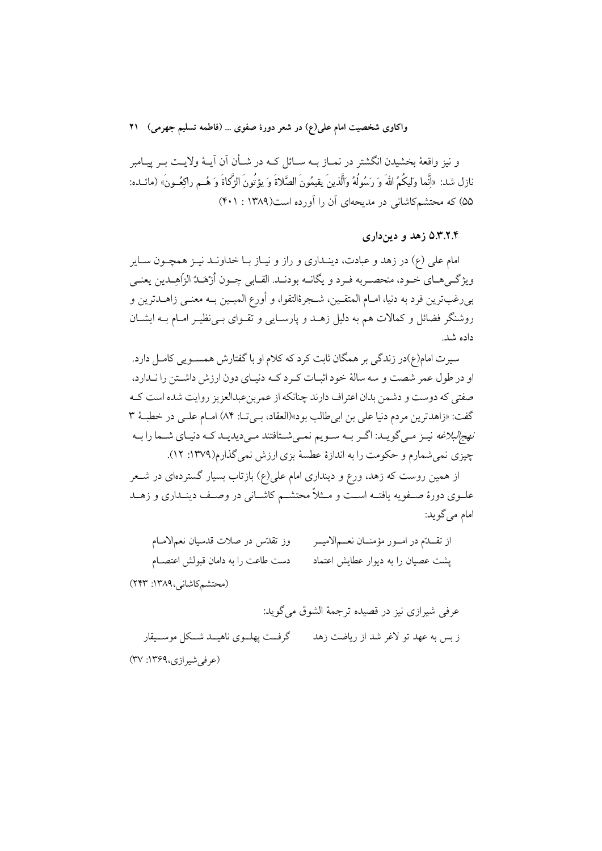و نیز واقعهٔ بخشیدن انگشتر در نمــاز بــه ســائل کــه در شــأن آن آیــهٔ ولایــت بــر پیــامبر نازل شد: «أنَّما وليكُمُ اللهَ وَ رَسُولُهُ والَّذينَ يقيمُونَ الصَّلاةَ وَ يؤتُونَ الزَّكاةَ وَ هُـم راكعُـونَ» (مائــده: ۵۵) که محتشمکاشانی در مدیحهای آن را آورده است(۱۳۸۹ : ۴۰۱)

۵.۳.۲.۴ زهد و دین داری

امام علي (ع) در زهد و عبادت، دينـداري و راز و نبــاز بــا خداونــد نيــز همچــون ســاير ويژگـيهـاي خـود، منحصـربه فـرد و يگانــه بودنــد. القــابي چــون أزْهَــدُ الزّاهِــدين يعنـي بىرغبترين فرد به دنيا، امــام المتقــين، شــجرهٔالتقوا، و أورع المبــين بــه معنــي زاهــدترين و روشنگر فضائل و کمالات هم به دلیل زهـد و پارسـایی و تقـوای بـی;ظیـر امـام بــه ایشــان داده شد.

سیرت امام(ع)در زندگی بر همگان ثابت کرد که کلام او با گفتارش همســویی کامــل دارد. او در طول عمر شصت و سه سالهٔ خود اثبـات كـرد كـه دنيـاي دون ارزش داشـتن را نـدارد، صفتی که دوست و دشمن بدان اعتراف دارند چنانکه از عمربن عبدالعزیز روایت شده است ک گفت: «زاهدترين مردم دنيا على بن ابي طالب بود»(العقاد، بـي تــا: ٨۴) امــام علــي در خطبـهٔ ٣ *نهج البلاغه* نیـز مـی گویـد: اگـر بـه سـویم نمـی شـتافتند مـی دیدیـد کـه دنیـای شــما را بــه چیزی نمیشمارم و حکومت را به اندازهٔ عطسهٔ بزی ارزش نمیگذارم(۱۳۷۹: ۱۲).

از همین روست که زهد، ورع و دینداری امام علی(ع) بازتاب بسیار گستردهای در شـعر علــوي دورهٔ صــفويه يافتــه اســت و مــثلاً محتشــم كاشــاني در وصــف دينــداري و زهــد امام مے گو بد:

| وز تقدّس در صلات قدسیان نعمالامـام  | از تقـــدّم در امـــور مؤمنـــان نعـــم لاميـــر |
|-------------------------------------|--------------------------------------------------|
| دست طاعت را به دامان قبولش اعتصــام | پشت عصیان را به دیوار عطایش اعتماد               |
|                                     |                                                  |

(محتشم كاشانى،١٣٨٩: ٢٢٣)

عرفي شيرازي نيز در قصيده ترجمهٔ الشوق مي گويد: (عرفی شیرازی،۱۳۶۹: ۳۷)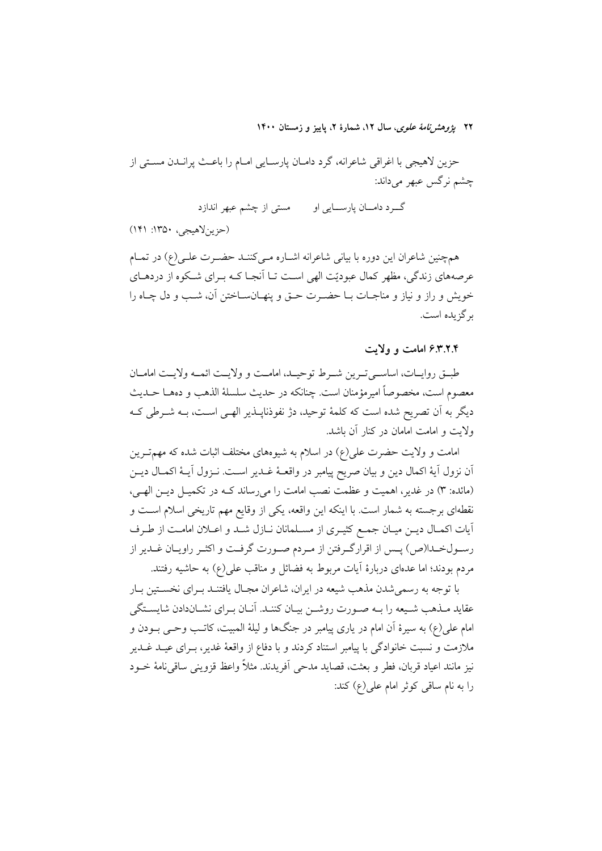۲۲ پژ*وهشرنامهٔ علوی*، سال ۱۲، شمارهٔ ۲، پاییز و زمستان ۱۴۰۰

حزين لاهيجي با اغراقي شاعرانه، گرد دامـان پارسـايي امـام را باعـث پرانـدن مسـتي از چشم نرگس عبھر میںداند:

> مستی از چشم عبهر اندازد گـــرد دامــــان پارســــايي او

(حزينلاهيجي، ١٣٥٠: ١۴١)

همچنین شاعران این دوره با بیانی شاعرانه اشـاره مـی کننــد حضـرت علـی(ع) در تمــام عرصههای زندگی، مظهر کمال عبودیّت الهی است تــا اَنجــا کــه بــرای شــکوه از دردهــای خويش و راز و نياز و مناجـات بــا حضــرت حــق و پنهــانســاختن آن، شــب و دل چــاه را بر گزیده است.

۶.۳.۲.۴ امامت و ولايت

طبـــق روايـــات، اساســـي تــرين شـــرط توحيــد، امامــت و ولايــت ائمـــه ولايــت امامـــان معصوم است، مخصوصاً اميرمؤمنان است. چنانكه در حديث سلسلهٔ الذهب و دههـا حــديث دیگر به اَن تصریح شده است که کلمهٔ توحید، دژ نفوذناپــذیر الهــی اســت، بــه شــرطی کــه ولايت و امامت امامان در كنار آن باشد.

امامت و ولایت حضرت علی(ع) در اسلام به شیوههای مختلف اثبات شده که مهم ترین اّن نزول اَيهٔ اکمال دين و بيان صريح پيامبر در واقعــهٔ غــدير اســت. نــزول اَيــهٔ اکمــال ديــن (مائده: ٣) در غدیر، اهمیت و عظمت نصب امامت را می رساند کـه در تکمیـل دیـن الهـی، نقطهای برجسته به شمار است. با اینکه این واقعه، یکی از وقایع مهم تاریخی اسلام است و أيات اكمـال ديـن ميـان جمـع كثيـري از مسـلمانان نـازل شـد و اعــلان امامـت از طـرف رسـولخـدا(ص) پـس از اقرارگـرفتن از مـردم صـورت گرفـت و اكثـر راويـان غـدير از مردم بودند؛ اما عدمای دربارهٔ آیات مربوط به فضائل و مناقب علی(ع) به حاشیه رفتند.

با توجه به رسمیشدن مذهب شیعه در ایران، شاعران مجـال یافتنـد بـرای نخسـتین بـار عقايد مـذهب شـيعه را بــه صـورت روشــن بيــان كننــد. آنــان بــراي نشــاندادن شايســتگي امام علی(ع) به سیرهٔ آن امام در یاری پیامبر در جنگها و لیلهٔ المبیت، کاتـب وحـی بــودن و ملازمت و نسبت خانوادگی با پیامبر استناد کردند و با دفاع از واقعهٔ غدیر، بـرای عیــد غــدیر نيز مانند اعياد قربان، فطر و بعثت، قصايد مدحى أفريدند. مثلاً واعظ قزويني ساقىنامهٔ خــود را به نام ساقی کوثر امام علی(ع) کند: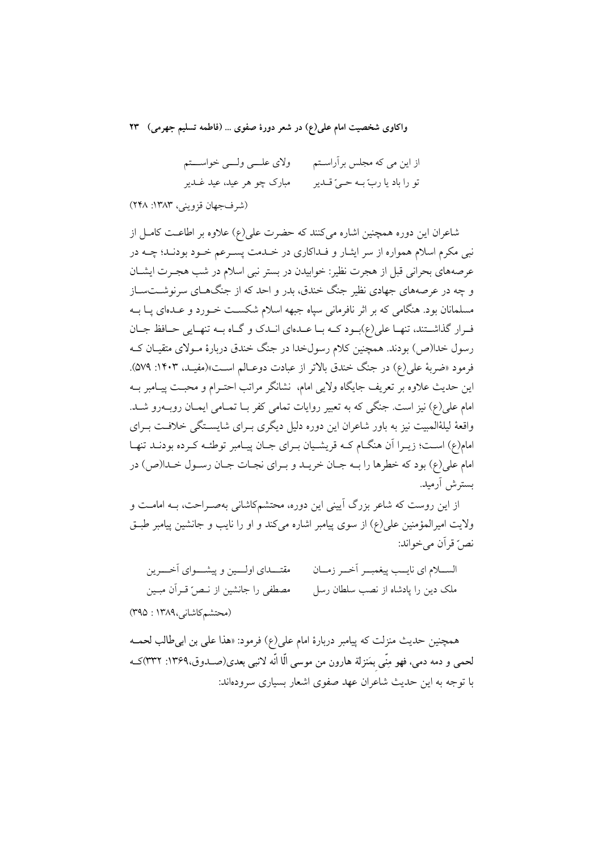ولاي علــي ولــي خواســـتم از این می که مجلس برآراسـتم مبارک چو ہر عید، عید غــدیر تو را باد يا ربّ بــه حــيّ قــدير

(شرفجهان قزويني، ١٣٨٣: ٢٤٨)

شاعران این دوره همچنین اشاره می کنند که حضرت علی(ع) علاوه بر اطاعـت کامـل از نبي مکرم اسلام همواره از سر ايشار و فـداکاري در خـدمت پسـرعم خـود بودنـد؛ چــه در عرصههای بحرانی قبل از هجرت نظیر: خوابیدن در بستر نبی اسلام در شب هجـرت ایشــان و چه در عرصههای جهادی نظیر جنگ خندق، بدر و احد که از جنگهـای سرنوشــتســاز مسلمانان بود. هنگامی که بر اثر نافرمانی سپاه جبهه اسلام شکست خـورد و عـدهای پـا بــه فرار گذاشتند، تنها علی(ع)بود کـه بـا عـدهای انـدک و گـاه بـه تنهـایی حـافظ جـان رسول خدا(ص) بودند. همچنین کلام رسولخدا در جنگ خندق دربارهٔ مـولای متقیـان کـه فرمود «ضربهٔ علی(ع) در جنگ خندق بالاتر از عبادت دوعـالم اسـت»(مفیـد، ۱۴۰۳: ۵۷۹). این حدیث علاوه بر تعریف جایگاه ولایی امام، نشانگر مراتب احتـرام و محبـت پیـامبر بــه امام علی(ع) نیز است. جنگی که به تعبیر روایات تمامی کفر بـا تمـامی ایمـان روبـهرو شـد. واقعهٔ لیلهٔالمبیت نیز به باور شاعران این دوره دلیل دیگری بـرای شایسـتگی خلافـت بـرای امام(ع) است؛ زیـرا آن هنگـام کـه قریشـیان بـرای جـان پیـامبر توطئـه کـرده بودنـد تنهـا امام علي(ع) بود كه خطرها را بـه جـان خريـد و بـراي نجـات جـان رسـول خـدا(ص) در بسترش أرميد.

از این روست که شاعر بزرگ آیینی این دوره، محتشمکاشانی بهصـراحت، بــه امامــت و ولايت اميرالمؤمنين على(ع) از سوى پيامبر اشاره مى كند و او را نايب و جانشين پيامبر طبــق نص" قر اَن مي خواند:

مقتــــداي اولــــين و پيشــــواي آخـــــرين الســــلام اي نايـــب پيغمبـــر أخـــر زمـــان مصطفى را جانشين از نـصٌ قـرآن مبـين ملک دین را پادشاه از نصب سلطان رسل (محتشم كاشانى،١٣٨٩ : ٣٩٥)

همچنین حدیث منزلت که پیامبر دربارهٔ امام علی(ع) فرمود: «هذا علمی بن ابی طالب لحمـه لحمي و دمه دمي، فهو مِنِّي بمَنزلة هارون من موسى الَّا انَّه لانبي بعدي(صــدوق،١٣۶٩: ٣٣٢)كــه با توجه به این حدیث شاعران عهد صفوی اشعار بسیاری سرودهاند: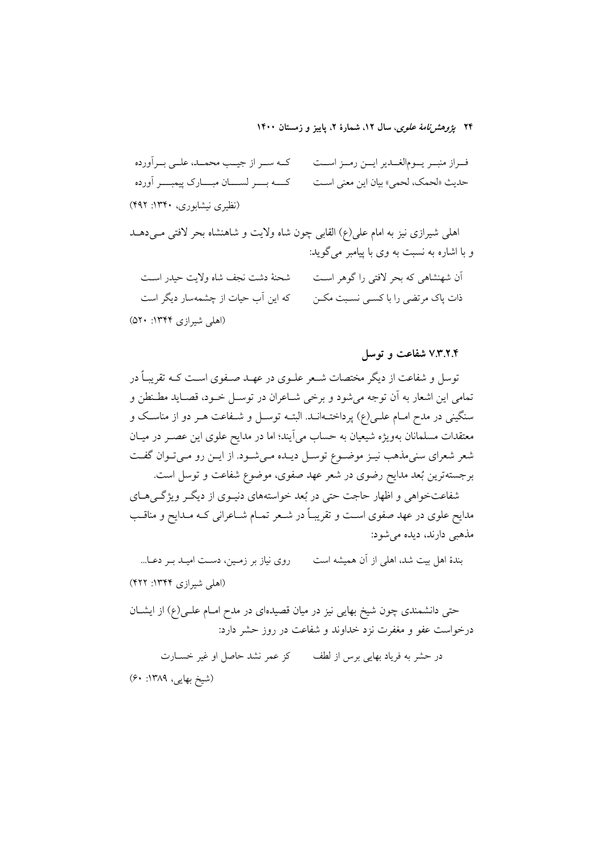۲۴ پژ*وهشرنامهٔ علوی*، سال ۱۲، شمارهٔ ۲، پاییز و زمستان ۱۴۰۰

كـه سـر از جيـب محمــد، علــي بــرآورده فسراز منبسر يسومالغسدير ايسن رمسز اسست كـــه بـــــر لســــــان مبـــــارك ييمبـــــر أورده حديث «لحمک، لحمي» بيان اين معنى اسـت (نظیری نیشابوری، ۱۳۴۰: ۴۹۲)

اهلی شیرازی نیز به امام علی(ع) القابی چون شاه ولایت و شاهنشاه بحر لافتی می دهـد و با اشاره به نسبت به وي با پيامبر مي گويد:

آن شهنشاهی که بحر لافتی را گوهر است شحنهٔ دشت نجف شاه ولایت حیدر اسـت که این آب حیات از چشمهسار دیگر است ذات پاک مرتضی را با کسـی نسـبت مکــن (اهلی شیرازی ۱۳۴۴: ۵۲۰)

۷.۳.۲.۴ شفاعت و توسل

توسل و شفاعت از دیگر مختصات شـعر علـوی در عهـد صـفوی اسـت کـه تقریبـاً در تمامی این اشعار به آن توجه می شود و برخی شـاعران در توسـل خــود، قصـاید مطـنطن و سنگینی در مدح امـام علـی(ع) پرداختـهانـد. البتـه توسـل و شـفاعت هـر دو از مناسـک و معتقدات مسلمانان بهویژه شیعیان به حساب می آیند؛ اما در مدایح علوی این عصـر در میـان شعر شعرای سنیمذهب نیـز موضـوع توسـل دیـده مـیشـود. از ایـن رو مـیتـوان گفـت برجستهترین بُعد مدایح رضوی در شعر عهد صفوی، موضوع شفاعت و توسل است.

شفاعتخواهی و اظهار حاجت حتی در بُعد خواستههای دنیـوی از دیگـر ویژگـی هـای مدایح علوی در عهد صفوی اسـت و تقریبـاً در شـعر تمـام شـاعرانی کـه مـدایح و مناقـب مذهبي دارند، ديده مي شود:

بندهٔ اهل بیت شد، اهلی از آن همیشه است روی نیاز بر زمین، دست امیله بر دعا... (اهلی شیرازی ۱۳۴۴: ۴۲۲)

حتی دانشمندی چون شیخ بهایی نیز در میان قصیدهای در مدح امـام علــی(ع) از ایشــان درخواست عفو و مغفرت نزد خداوند و شفاعت در روز حشر دارد:

در حشر به فرياد بهايي برس از لطف مسكز عمر نشد حاصل او غير خسـارت (شيخ بهايي، ١٣٨٩: ۶٠)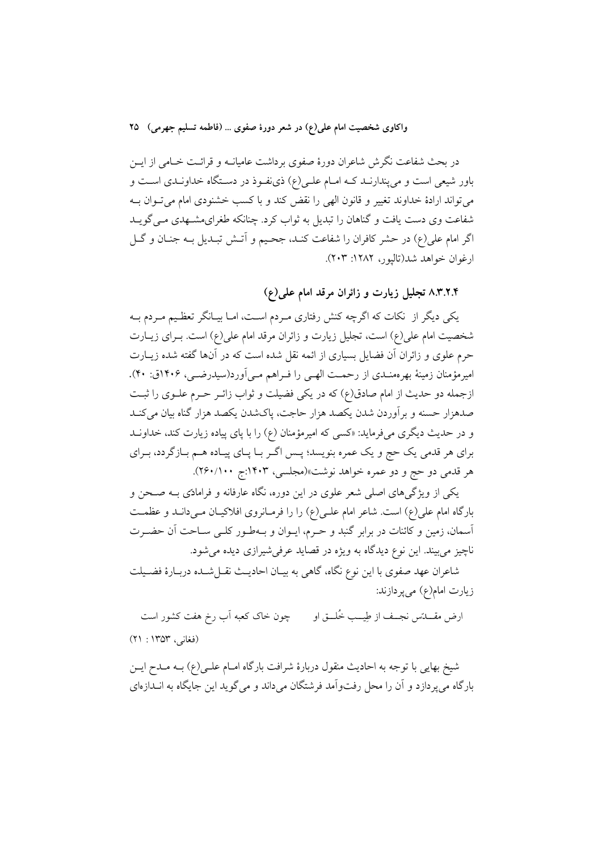در بحث شفاعت نگرش شاعران دورهٔ صفوی برداشت عامیانــه و قرائــت خــامی از ایــن باور شیعی است و می پندارنـد کـه امـام علـی(ع) ذی نفـوذ در دسـتگاه خداونـدی اسـت و می تواند ارادهٔ خداوند تغییر و قانون الهی را نقض کند و با کسب خشنودی امام می توان بـه شفاعت وي دست يافت و گناهان را تبديل به ثواب كرد. چنانكه طغراي مشـهدي مـي گويــد اگر امام علی(ع) در حشر کافران را شفاعت کنـد، جحـیم و اَتـش تبـدیل بـه جنـان و گـل ارغوان خواهد شد(تاليور، ١٢٨٢: ٢٠٣).

۰.۳.۲.۴ تجلیل زیارت و زائران مرقد امام علمی(ع)

یکی دیگر از نکات که اگرچه کنش رفتاری مـردم اسـت، امـا بیـانگر تعظـیم مـردم بـه شخصیت امام علی(ع) است، تجلیل زیارت و زائران مرقد امام علی(ع) است. بـرای زیـارت حرم علوی و زائران آن فضایل بسیاری از ائمه نقل شده است که در آنها گفته شده زیـارت امیرمؤمنان زمینهٔ بهرهمنـدی از رحمـت الهـی را فـراهم مـی اَورد(سیدرضـی، ۱۴۰۶ق: ۴۰). ازجمله دو حدیث از امام صادق(ع) که در یکی فضیلت و ثواب زائـر حـرم علــوی را ثبـت صدهزار حسنه و برأوردن شدن يكصد هزار حاجت، پاكشدن يكصد هزار گناه بيان مىكنـد و در حدیث دیگری میفرماید: «کسی که امیرمؤمنان (ع) را با پای پیاده زیارت کند، خداونـد براي هر قدمي يک حج و يک عمره بنويسد؛ پـس اگـر بـا پـاي پيـاده هـم بـازگردد، بـراي هر قدمي دو حج و دو عمره خواهد نوشت»(مجلسي، ۱۴۰۳:ج ۲۶۰/۱۰۰).

یکی از ویژگیهای اصلی شعر علوی در این دوره، نگاه عارفانه و فرامادی بـه صـحن و بارگاه امام علی(ع) است. شاعر امام علـی(ع) را را فرمـانروی افلاکیـان مـیدانـد و عظمـت أسمان، زمین و کائنات در برابر گنبد و حـرم، ایــوان و بــهطــور کلــی ســاحت آن حضــرت ناچیز می بیند. این نوع دیدگاه به ویژه در قصاید عرفی شیرازی دیده می شود.

شاعران عهد صفوي با اين نوع نگاه، گاهي به بيـان احاديـث نقــل شــده دربــارهٔ فضــيلت زيارت امام(ع) مي پردازند:

چون خاک کعبه آب رخ هفت کشور است ارض مقــــدّس نجـــف از طِيـــب خُلـــق او (فغانی، ۱۳۵۳ : ۲۱)

شیخ بهایی با توجه به احادیث منقول دربارهٔ شرافت بارگاه امـام علـی(ع) بــه مــدح ایــن بارگاه می پردازد و آن را محل رفتوآمد فرشتگان میداند و می گوید این جایگاه به انــدازهای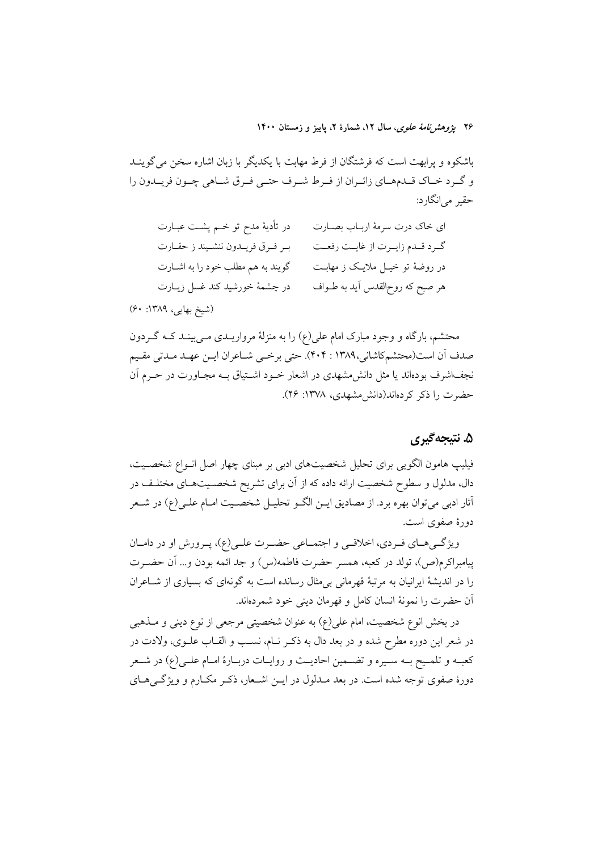۲۶ ی*ژوهشرنامهٔ علوی*، سال ۱۲، شمارهٔ ۲، پاییز و زمستان ۱۴۰۰

باشکوه و پرابهت است که فرشتگان از فرط مهابت با یکدیگر با زبان اشاره سخن می گوینـد و گـرد خــاک قــدمهــاي زائــران از فــرط شــرف حتــي فــرق شــاهي چــون فريــدون را حقير مي|نگارد:

در تأديهٔ مدح تو خــم پشــت عبــارت ای خاک درت سرمهٔ اربـاب بصــارت گـرد قـدم زايـرت از غايـت رفعـت بر فرق فريـدون ننشـيند ز حقـارت گویند به هم مطلب خود را به اشـارت در روضهٔ تو خیــل ملایــک ز مهابــت در چشمهٔ خورشید کند غسل زیبارت هر صبح که روح|لقدس آید به طــواف

(شیخ بھایی، ۱۳۸۹: ۶۰)

محتشم، بارگاه و وجود مبارک امام علی(ع) را به منزلهٔ مرواریــدی مــی بینــد کــه گــردون صدف أن است(محتشمكاشاني،١٣٨٩ : ۴٠۴). حتى برخمي شـاعران ايـن عهـد مـدتي مقـيم نجف\شرف بودهاند یا مثل دانش مشهدی در اشعار خــود اشــتیاق بــه مجــاورت در حــرم آن حضرت را ذکر کردهاند(دانش مشهدی، ۱۳۷۸: ۲۶).

## ۵. نتيجه گيري

فیلیپ هامون الگویی برای تحلیل شخصیتهای ادبی بر مبنای چهار اصل انـواع شخصـیت، دال، مدلول و سطوح شخصیت ارائه داده که از آن برای تشریح شخصـیتهـای مختلـف در آثار ادبی می توان بھرہ برد. از مصادیق ایــن الگــو تحلیــل شخصــیت امــام علــی(ع) در شــعر دورهٔ صفوی است.

ویژگی های فردی، اخلاقی و اجتماعی حضرت علـی(ع)، پـرورش او در دامـان ييامبراكرم(ص)، تولد در كعبه، همسر حضرت فاطمه(س) و جد ائمه بودن و… أن حضـرت را در اندیشهٔ ایرانیان به مرتبهٔ قهرمانی بی مثال رسانده است به گونهای که بسیاری از شــاعران آن حضرت را نمونهٔ انسان کامل و قهرمان دینی خود شمردهاند.

در بخش انوع شخصیت، امام علی(ع) به عنوان شخصیتی مرجعی از نوع دینی و مــذهبی در شعر این دوره مطرح شده و در بعد دال به ذکـر نـام، نسـب و القـاب علـوی، ولادت در كعبـه و تلمـيح بـه سـيره و تضـمين احاديـث و روايـات دربـارهٔ امـام علـي(ع) در شـعر دورهٔ صفوی توجه شده است. در بعد مـدلول در ایــن اشــعار، ذکـر مکــارم و ویژگــیهــای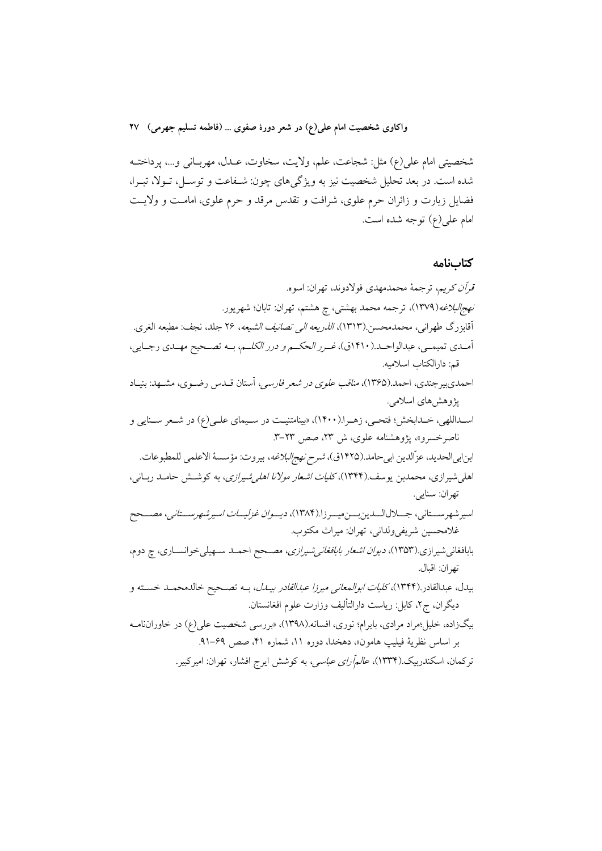شخصيتي امام علي(ع) مثل: شجاعت، علم، ولايت، سخاوت، عــدل، مهربــاني و...، پرداختــه شده است. در بعد تحلیل شخصیت نیز به ویژگرهای چون: شـفاعت و توسـل، تـولا، تبـرا، فضایل زیارت و زائران حرم علوی، شرافت و تقدس مرقد و حرم علوی، امامت و ولایت امام علي(ع) توجه شده است.

### كتابنامه

قرأن كريم، ترجمهٔ محمدمهدي فولادوند، تهران: اسوه. *نهج|لبلاغه(*۱۳۷۹)، ترجمه محمد بهشتی، چ هشتم، تهران: تابان؛ شهریور. آقابزرگ طهراني، محمدمحسن.(۱۳۱۳)، *الذريعه الي تصانيف الشيعه*، ۲۶ جلد، نجف: مطبعه الغري. آمـدي تميمـي، عبدالواحـد.(١۴١٠ق)، *غـرر الحكـم و درر الكلـم*، بــه تصـحيح مهـدي رجـايي، قم: دارالكتاب اسلاميه. احمدیبیرجندی، احمد.(۱۳۶۵)، *مناقب علوی در شعر فارسی*، آستان قــدس رضــوی، مشــهد: بنیــاد پژوهشهای اسلامی. اسداللهي، خـدابخش؛ فتحـي، زهـرا.(١۴٠٠)، «بينامتنيـت در سـيماي علـي(ع) در شـعر سـنايي و ناصر خسرو»، پژوهشنامه علوی، ش ۲۳، صص ۲۳-۳. ابنابي|لحديد، عزّالدين ابيحامد.(١۴٢۵ق)، *شرح نهج|لبلاغه*، بيروت: مؤسسهٔ الاعلمي للمطبوعات. اهلی شیرازی، محمدبن یوسف.(۱۳۴۴)، *کلیات اشعار مولانا اهلی شیرازی*، به کوشش حامـد ربـانی، تهران: سنايي. اسير شهر ســتاني، جـــلالالـــدين بــــن ميـــر زا.(١٣٨٤)، د*يــوان غزليـــات اسير شهر ســـتاني*، مصـــحح غلامحسين شريفي ولداني، تهران: ميراث مكتوب. بابافغانیشیرازی.(۱۳۵۳)، *دیوان اشعار بابافغانی شیرازی*، مصـحح احمـد سـهیلیخوانسـاری، چ دوم، تهران: اقبال. بيدل، عبدالقادر.(۱۳۴۴)، *كليات ابوالمعاني ميرزا عبدالقادر بيــدل*، بــه تصــحيح خالدمحمــد خســته و ديگران، ج۲، كابل: رياست دارالتأليف وزارت علوم افغانستان. بیگزاده، خلیل بمراد مرادی، بایرام؛ نوری، افسانه.(۱۳۹۸)، «بررسی شخصیت علی(ع) در خاوراننامـه بر اساس نظرية فيليب هامون»، دهخدا، دوره ١١، شماره ۴١، صص ۶۹–٩١.

ترکمان، اسکندربیک.(۱۳۳۴)، *عالمآرای عباسی،* به کوشش ایرج افشار، تهران: امیرکبیر.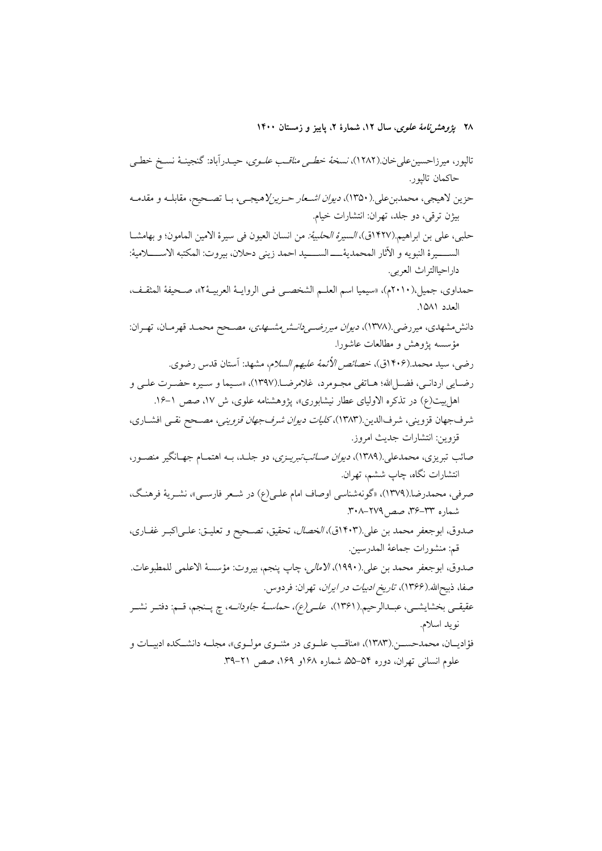۲۸ *پژوهشنامهٔ علوی*، سال ۱۲، شمارهٔ ۲، پاییز و زمستان ۱۴۰۰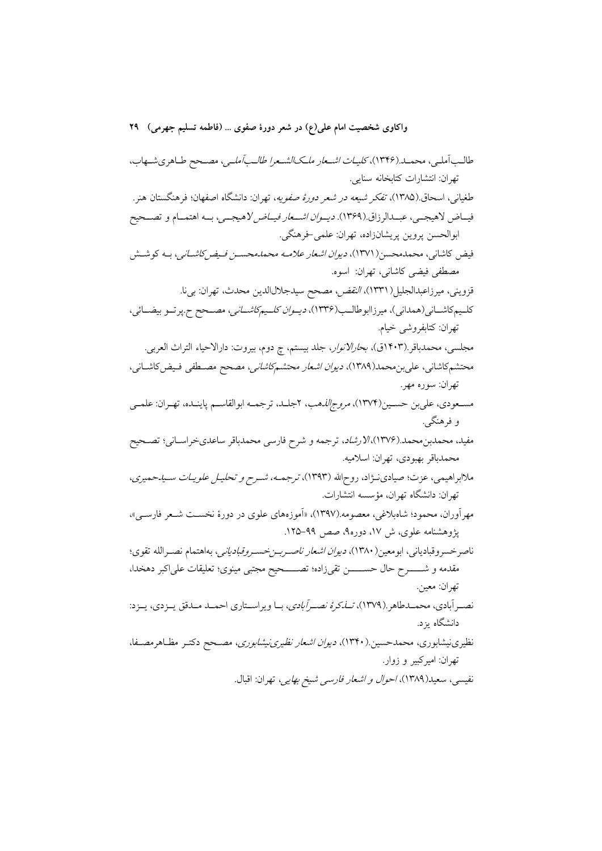طالب آملی، محمـد.(۱۳۴۶)، *کلیـات اشـعار ملـکـالشـعرا طالـب آملـی*، مصـحح طـاهریشـهاب، تهران: انتشارات كتابخانه سنايي. طغیانی، اسحاق (۱۳۸۵)، *تفکر شیعه در شعر دورهٔ صفویه*، تهران: دانشگاه اصفهان؛ فرهنگستان هنر. فيــاض لاهيجــي، عبــدالرزاق.(١٣۶٩). *ديــوان اشــعار فيــاض لاهيجـــي*، بــه اهتمــام و تصــحيح ابوالحسن پروين پريشانزاده، تهران: علمي خرهنگي. فیض کاشانی، محمدمحسن(۱۳۷۱)، *دیوان اشعار علامـه محمدمحسـن فـیض2اشـانی*، بـه کوشـش مصطفى فيضى كاشانى، تهران: اسوه. قزويني، ميرزاعبدالجليل(١٣٣١)، *النقض، مص*حح سيدجلالاالدين محدث، تهران: بيi. كليم كاشـاني(همداني)، ميرزاابوطالـب(١٣٣۶)، *ديـوان كلـيمكاشــاني*، مصــحح ح.پرتــو بيضــائي، تھران: كتابفروشي خيام. مجلسي، محمدباقر.(۱۴۰۳ق)، *بحارالانوار*، جلد بيستم، چ دوم، بيروت: دارالاحياء التراث العربي. محتشمکاشانی، علیبن محمد(۱۳۸۹)، *دیوان اشعار محتشمکاشانی، مص*حح مصـطفی فـیض کاشـانی، تهران: سوره مهر. مسـعودي، علي بن حسـين(١٣٧٤)، *مروج الذه*ب، ٢جلـد، ترجمـه ابوالقاسـم ياينـده، تهـران: علمـي و فرهنگے ِ. مفید، محمدبن محمد.(۱۳۷۶)، *لارشاد*، ترجمه و شرح فارسی محمدباقر ساعدیخراسـانی؛ تصـحیح محمدباقر بهبودي، تهران: اسلاميه. ملاابراهیمی، عزت؛ صیادی نـژاد، روحالله (۱۳۹۳)، ترجمــه، شــرح و تحلیـل علویــات ســیـدحمیری، تهران: دانشگاه تهران، مؤسسه انتشارات. مهر آوران، محمود؛ شاهبلاغی، معصومه.(۱۳۹۷)، «آموزههای علوی در دورهٔ نخست شیعر فارسه »، پژوهشنامه علوی، ش ۱۷، دوره۹، صص ۹۹–۱۲۵. ناصرخسروقبادياني، ابومعين(١٣٨٠)، *ديوان اشعار ناصربـنخسـروقبادياني*، بهاهتمام نصـرالله تقوى؛ مقدمه و شـــــــرح حال حســـــــــن تقىزاده؛ تصـــــــحيح مجتبي مينوي؛ تعليقات علىاكبر دهخدا، تهران: معين. نصبر آبادی، محمــدطاهر .(۱۳۷۹)، *تــانکرهٔ نصبر آبادی*، بــا ویراســتاری احمــد مــدقق پــزدی، پــزد: دانشگاه ىز د. نظیرینیشابوری، محمدحسین.(۱۳۴۰)، *دیوان اشعار نظیرینیشابوری*، مصــحح دکتــر مظــاهرمصــفا، تهران: اميرکبير و زوار. نفيسي، سعيد(١٣٨٩)، *احوال و اشعار فارسي شيخ بهايي*، تهران: اقبال.